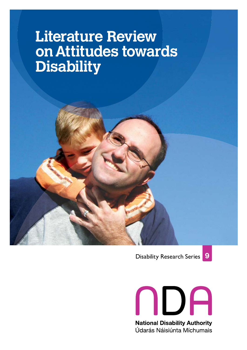### **2**<br>**2 Dig Literature Review on Attitudes towards Disability**





NDA **National Disability Authority** Údarás Náisiúnta Míchumais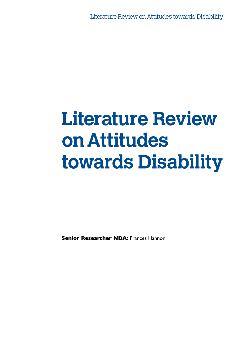# **Literature Review on Attitudes towards Disability**

**Senior Researcher NDA: Frances Hannon**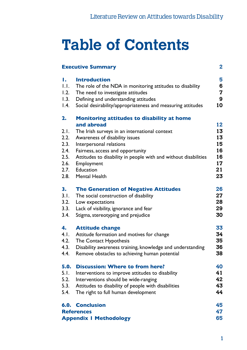# **Table of Contents**

| ı.               | <b>Introduction</b>                                             |
|------------------|-----------------------------------------------------------------|
| 1.1.             | The role of the NDA in monitoring attitudes to disability       |
| 1.2.             | The need to investigate attitudes                               |
| 1.3.             | Defining and understanding attitudes                            |
| $\mathsf{I}$ .4. | Social desirability/appropriateness and measuring attitudes     |
| 2.               | <b>Monitoring attitudes to disability at home</b>               |
|                  | and abroad                                                      |
| 2.1.             | The Irish surveys in an international context                   |
| 2.2.             | Awareness of disability issues                                  |
| 2.3.             | Interpersonal relations                                         |
| 2.4.             | Fairness, access and opportunity                                |
| 2.5.             | Attitudes to disability in people with and without disabilities |
| 2.6.             | Employment                                                      |
|                  | 2.7. Education                                                  |
| 2.8.             | <b>Mental Health</b>                                            |
| 3.               | <b>The Generation of Negative Attitudes</b>                     |
| 3.1.             | The social construction of disability                           |
| 3.2.             | Low expectations                                                |
| 3.3.             | Lack of visibility, ignorance and fear                          |
| 3.4.             | Stigma, stereotyping and prejudice                              |
| 4.               | <b>Attitude change</b>                                          |
| 4.1.             | Attitude formation and motives for change                       |
| 4.2.             | The Contact Hypothesis                                          |
| 4.3.             | Disability awareness training, knowledge and understanding      |
| 4.4.             | Remove obstacles to achieving human potential                   |
| 5.0.             | <b>Discussion: Where to from here?</b>                          |
| 5.1.             | Interventions to improve attitudes to disability                |
| 5.2.             | Interventions should be wide-ranging                            |
| 5.3.             | Attitudes to disability of people with disabilities             |
| 5.4.             | The right to full human development                             |
|                  | <b>6.0. Conclusion</b>                                          |
|                  | <b>References</b>                                               |
|                  | <b>Appendix I Methodology</b>                                   |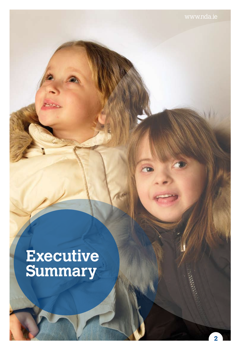## **Executive Summary**

иш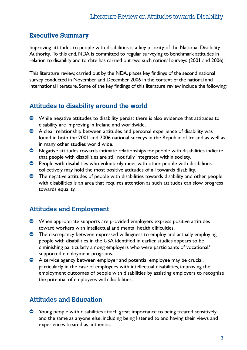#### **Executive Summary**

Improving attitudes to people with disabilities is a key priority of the National Disability Authority. To this end, NDA is committed to regular surveying to benchmark attitudes in relation to disability and to date has carried out two such national surveys (2001 and 2006).

This literature review, carried out by the NDA, places key findings of the second national survey conducted in November and December 2006 in the context of the national and international literature. Some of the key findings of this literature review include the following:

#### **Attitudes to disability around the world**

- $\bullet$  While negative attitudes to disability persist there is also evidence that attitudes to disability are improving in Ireland and worldwide.
- $\bullet$  A clear relationship between attitudes and personal experience of disability was found in both the 2001 and 2006 national surveys in the Republic of Ireland as well as in many other studies world wide.
- $\bullet$  Negative attitudes towards intimate relationships for people with disabilities indicate that people with disabilities are still not fully integrated within society.
- $\bullet$  People with disabilities who voluntarily meet with other people with disabilities collectively may hold the most positive attitudes of all towards disability.
- $\bullet$  The negative attitudes of people with disabilities towards disability and other people with disabilities is an area that requires attention as such attitudes can slow progress towards equality.

### **Attitudes and Employment**

- $\bullet$  When appropriate supports are provided employers express positive attitudes toward workers with intellectual and mental health difficulties.
- $\bullet$  The discrepancy between expressed willingness to employ and actually employing people with disabilities in the USA identified in earlier studies appears to be diminishing particularly among employers who were participants of vocational/ supported employment programs.
- $\bullet$  A service agency between employer and potential employee may be crucial, particularly in the case of employees with intellectual disabilities, improving the employment outcomes of people with disabilities by assisting employers to recognise the potential of employees with disabilities.

#### **Attitudes and Education**

<sup>O</sup> Young people with disabilities attach great importance to being treated sensitively and the same as anyone else, including being listened to and having their views and experiences treated as authentic.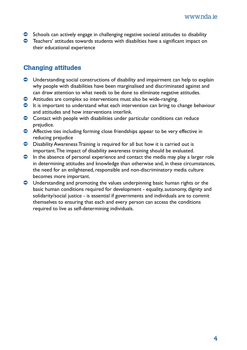- $\bullet$  Schools can actively engage in challenging negative societal attitudes to disability
- $\bullet$  Teachers' attitudes towards students with disabilties have a significant impact on their educational experience

#### **Changing attitudes**

- $\bullet$  Understanding social constructions of disability and impairment can help to explain why people with disabilities have been marginalised and discriminated against and can draw attention to what needs to be done to eliminate negative attitudes.
- $\bullet$  Attitudes are complex so interventions must also be wide-ranging.
- $\bullet$  It is important to understand what each intervention can bring to change behaviour and attitudes and how interventions interlink.
- $\bullet$  Contact with people with disabilities under particular conditions can reduce prejudice.
- $\bullet$  Affective ties including forming close friendships appear to be very effective in reducing prejudice
- **O** Disability Awareness Training is required for all but how it is carried out is important. The impact of disability awareness training should be evaluated.
- $\bullet$  In the absence of personal experience and contact the media may play a larger role in determining attitudes and knowledge than otherwise and, in these circumstances, the need for an enlightened, responsible and non-discriminatory media culture becomes more important.
- $\bullet$  Understanding and promoting the values underpinning basic human rights or the basic human conditions required for development - equality, autonomy, dignity and solidarity/social justice - is essential if governments and individuals are to commit themselves to ensuring that each and every person can access the conditions required to live as self-determining individuals.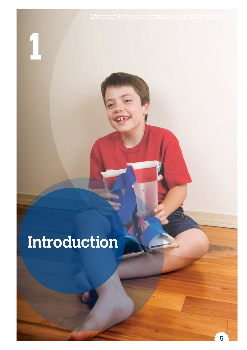# **Introduction**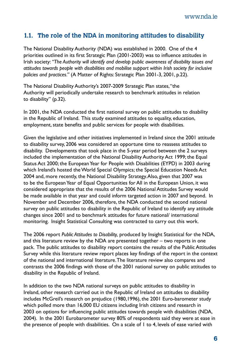#### **1.1. The role of the NDA in monitoring attitudes to disability**

The National Disability Authority (NDA) was established in 2000. One of the 4 priorities outlined in its first Strategic Plan (2001-2003) was to influence attitudes in Irish society: *"The Authority will identify and develop public awareness of disability issues and attitudes towards people with disabilities and mobilise support within Irish society for inclusive policies and practices."* (A Matter of Rights: Strategic Plan 2001-3, 2001, p.22).

The National Disability Authority's 2007-2009 Strategic Plan states, "the Authority will periodically undertake research to benchmark attitudes in relation to disability" (p.32).

In 2001, the NDA conducted the first national survey on public attitudes to disability in the Republic of Ireland. This study examined attitudes to equality, education, employment, state benefits and public services for people with disabilities.

Given the legislative and other initiatives implemented in Ireland since the 2001 attitude to disability survey, 2006 was considered an opportune time to reassess attitudes to disability. Developments that took place in the 5-year period between the 2 surveys included the implementation of the National Disability Authority Act 1999; the Equal Status Act 2000; the European Year for People with Disabilities (EYPD) in 2003 during which Ireland's hosted the World Special Olympics; the Special Education Needs Act 2004 and, more recently, the National Disability Strategy. Also, given that 2007 was to be the European Year of Equal Opportunities for All in the European Union, it was considered appropriate that the results of the 2006 National Attitudes Survey would be made available in that year and could inform targeted action in 2007 and beyond. In November and December 2006, therefore, the NDA conducted the second national survey on public attitudes to disability in the Republic of Ireland to identify any attitude changes since 2001 and to benchmark attitudes for future national/ international monitoring. Insight Statistical Consulting was contracted to carry out this work.

The 2006 report *Public Attitudes to Disability,* produced by Insight Statistical for the NDA, and this literature review by the NDA are presented together – two reports in one pack. The public attitudes to disability report contains the results of the Public Attitudes Survey while this literature review report places key findings of the report in the context of the national and international literature. The literature review also compares and contrasts the 2006 findings with those of the 2001 national survey on public attitudes to disability in the Republic of Ireland.

In addition to the two NDA national surveys on public attitudes to disability in Ireland, other research carried out in the Republic of Ireland on attitudes to disability includes McGreil's research on prejudice (1980,1996), the 2001 Euro-barometer study which polled more than 16,000 EU citizens including Irish citizens and research in 2003 on options for influencing public attitudes towards people with disabilities (NDA, 2004). In the 2001 Eurobarometer survey 80% of respondents said they were at ease in the presence of people with disabilities. On a scale of 1 to 4, levels of ease varied with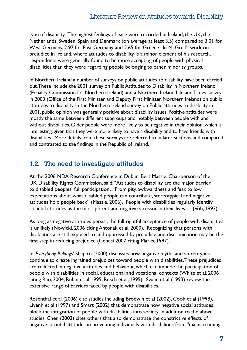type of disability. The highest feelings of ease were recorded in Ireland, the UK, the Netherlands, Sweden, Spain and Denmark (on average at least 3.5) compared to 3.01 for West Germany, 2.97 for East Germany and 2.65 for Greece. In McGreil's work on prejudice in Ireland, where attitudes to disability is a minor element of his research, respondents were generally found to be more accepting of people with physical disabilities than they were regarding people belonging to other minority groups.

In Northern Ireland a number of surveys on public attitudes to disability have been carried out. These include the 2001 survey on Public Attitudes to Disability in Northern Ireland (Equality Commission for Northern Ireland) and a Northern Ireland Life and Times survey in 2003 (Office of the First Minister and Deputy First Minister, Northern Ireland) on public attitudes to disability. In the Northern Ireland survey on Public attitudes to disability in 2001, public opinion was generally positive about disability issues. Positive attitudes were mostly the same between different subgroups and, notably, between people with and without disabilities. Older people were more likely to be negative in their opinion, which is interesting, given that they were more likely to have a disability and to have friends with disabilities. More details from these surveys are referred to in later sections and compared and contrasted to the findings in the Republic of Ireland.

#### **1.2. The need to investigate attitudes**

At the 2006 NDA Research Conference in Dublin, Bert Massie, Chairperson of the UK Disability Rights Commission, said: "Attitudes to disability are the major barrier to disabled peoples' full participation…From pity, awkwardness and fear, to low expectations about what disabled people can contribute, stereotypical and negative attitudes hold people back" (Massie, 2006). "People with disabilities regularly identify societal attitudes as the most potent and negative stressor in their lives…"(Voh, 1993).

As long as negative attitudes persist, the full rightful acceptance of people with disabilities is unlikely (Nowicki, 2006 citing Antonak et al, 2000). Recognizing that persons with disabilities are still exposed to and oppressed by prejudice and discrimination may be the first step in reducing prejudice (Genesi 2007 citing Marks, 1997).

In '*Everybody Belongs'* Shapiro (2000) discusses how negative myths and stereotypes continue to create ingrained prejudices toward people with disabilities. These prejudices are reflected in negative attitudes and behaviour, which can impede the participation of people with disabilities in social, educational and vocational contexts (White et al, 2006 citing Rao, 2004; Rubin et al 1995; Rusch et al, 1995). Swain et al (1993) review the extensive range of barriers faced by people with disabilities.

Rosenthal et al (2006) cite studies including Brodwin et al (2002), Cook et al (1998), Livenh et al (1997) and Smart (2002) that demonstrate how negative social attitudes block the integration of people with disabilities into society. In addition to the above studies, Chen (2002) cites others that also demonstrate the constrictive effects of negative societal attitudes in preventing individuals with disabilities from "mainstreaming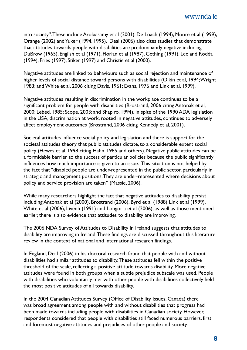into society". These include Arokiasamy et al (2001), De Loach (1994), Moore et al (1999), Orange (2002) and Yuker (1994, 1995). Deal (2006) also cites studies that demonstrate that attitudes towards people with disabilities are predominantly negative including DuBrow (1965), English et al (1971), Florian et al (1987), Gething (1991), Lee and Rodda (1994), Fries (1997), Stiker (1997) and Christie et al (2000).

Negative attitudes are linked to behaviours such as social rejection and maintenance of higher levels of social distance toward persons with disabilities (Olkin et al, 1994; Wright 1983; and White et al, 2006 citing Davis, 1961; Evans, 1976 and Link et al, 1999).

Negative attitudes resulting in discrimination in the workplace continues to be a significant problem for people with disabilities (Brostrand, 2006 citing Antonak et al, 2000; Lebed, 1985; Scope, 2003; and Shapiro, 1994). In spite of the 1990 ADA legislation in the USA, discrimination at work, rooted in negative attitudes, continues to adversely affect employment outcomes (Brostrand, 2006 citing Kennedy et al, 2001).

Societal attitudes influence social policy and legislation and there is support for the societal attitudes theory that public attitudes dictate, to a considerable extent social policy (Hewes et al, 1998 citing Hahn, 1985 and others). Negative public attitudes can be a formidable barrier to the success of particular policies because the public significantly influences how much importance is given to an issue. This situation is not helped by the fact that "disabled people are under-represented in the public sector, particularly in strategic and management positions. They are under-represented where decisions about policy and service provision are taken" (Massie, 2006).

While many researchers highlight the fact that negative attitudes to disability persist including Antonak et al (2000), Brostrand (2006), Byrd et al (1988) Link et al (1999), White et al (2006), Livenh (1991) and Longoria et al (2006), as well as those mentioned earlier, there is also evidence that attitudes to disability are improving.

The 2006 NDA Survey of Attitudes to Disability in Ireland suggests that attitudes to disability are improving in Ireland. These findings are discussed throughout this literature review in the context of national and international research findings.

In England, Deal (2006) in his doctoral research found that people with and without disabilities had similar attitudes to disability. These attitudes fell within the positive threshold of the scale, reflecting a positive attitude towards disability. More negative attitudes were found in both groups when a subtle prejudice subscale was used. People with disabilities who voluntarily met with other people with disabilities collectively held the most positive attitudes of all towards disability.

In the 2004 Canadian Attitudes Survey (Office of Disability Issues, Canada) there was broad agreement among people with and without disabilities that progress had been made towards including people with disabilities in Canadian society. However, respondents considered that people with disabilities still faced numerous barriers, first and foremost negative attitudes and prejudices of other people and society.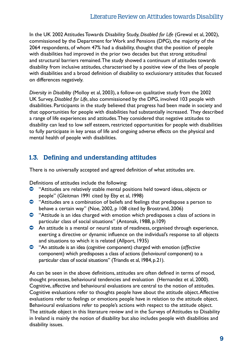In the UK 2002 Attitudes Towards Disability Study, *Disabled for Life* (Grewal et al, 2002), commissioned by the Department for Work and Pensions (DPG), the majority of the 2064 respondents, of whom 47% had a disability, thought that the position of people with disabilities had improved in the prior two decades but that strong attitudinal and structural barriers remained. The study showed a continuum of attitudes towards disability from inclusive attitudes, characterised by a positive view of the lives of people with disabilities and a broad definition of disability to exclusionary attitudes that focused on differences negatively.

*Diversity in Disability* (Molloy et al, 2003), a follow-on qualitative study from the 2002 UK Survey, *Disabled for Life*, also commissioned by the DPG, involved 103 people with disabilities. Participants in the study believed that progress had been made in society and that opportunities for people with disabilities had substantially increased. They described a range of life experiences and attitudes. They considered that negative attitudes to disability can lead to low self esteem, restricted opportunities for people with disabilities to fully participate in key areas of life and ongoing adverse effects on the physical and mental health of people with disabilities.

### **1.3. Defining and understanding attitudes**

There is no universally accepted and agreed definition of what attitudes are.

Definitions of attitudes include the following:

- Ú "Attitudes are relatively stable mental positions held toward ideas, objects or people" (Gleitman 1991 cited by Eby et al, 1998)
- Ú "Attitudes are a combination of beliefs and feelings that predispose a person to behave a certain way" (Noe, 2002, p 108 cited by Brostrand, 2006)
- <sup>O</sup> "Attitude is an idea charged with emotion which predisposes a class of actions in particular class of social situations" (Antonak, 1988, p.109)
- <sup>O</sup> An attitude is a mental or neural state of readiness, organised through experience, exerting a directive or dynamic influence on the individual's response to all objects and situations to which it is related (Allport, 1935)
- Ú "An attitude is an idea (*cognitive* component) charged with emotion (*affective*  component) which predisposes a class of actions (*behavioural* component) to a particular class of social situations" (Triandis et al, 1984, p.21).

As can be seen in the above definitions, attitudes are often defined in terms of mood, thought processes, behavioural tendencies and evaluation (Hernandez et al, 2000). Cognitive, affective and behavioural evaluations are central to the notion of attitudes. Cognitive evaluations refer to thoughts people have about the attitude object. Affective evaluations refer to feelings or emotions people have in relation to the attitude object. Behavioural evaluations refer to people's actions with respect to the attitude object. The attitude object in this literature review and in the Surveys of Attitudes to Disability in Ireland is mainly the notion of disability but also includes people with disabilities and disability issues.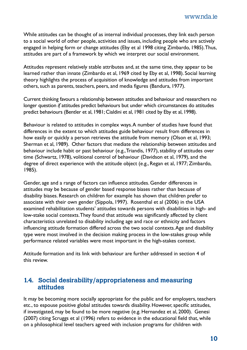While attitudes can be thought of as internal individual processes, they link each person to a social world of other people, activities and issues, including people who are actively engaged in helping form or change attitudes (Eby et al 1998 citing Zimbardo, 1985). Thus, attitudes are part of a framework by which we interpret our social environment.

Attitudes represent relatively stable attributes and, at the same time, they appear to be learned rather than innate (Zimbardo et al, 1969 cited by Eby et al, 1998). Social learning theory highlights the process of acquisition of knowledge and attitudes from important others, such as parents, teachers, peers, and media figures (Bandura, 1977).

Current thinking favours a relationship between attitudes and behaviour and researchers no longer question *if* attitudes predict behaviours but under which circumstances do attitudes predict behaviours (Bentler et al, 1981; Cialdini et al, 1981 cited by Eby et al, 1998).

Behaviour is related to attitudes in complex ways. A number of studies have found that differences in the extent to which attitudes guide behaviour result from differences in how easily or quickly a person retrieves the attitude from memory (Olson et al, 1993; Sherman et al, 1989). Other factors that mediate the relationship between attitudes and behaviour include habit or past behaviour (e.g., Triandis, 1977), stability of attitudes over time (Schwartz, 1978), volitional control of behaviour (Davidson et al, 1979), and the degree of direct experience with the attitude object (e.g., Regan et al, 1977; Zimbardo, 1985).

Gender, age and a range of factors can influence attitudes. Gender differences in attitudes may be because of gender based response biases rather than because of disability biases. Research on children for example has shown that children prefer to associate with their own gender (Sippola, 1997). Rosenthal et al (2006) in the USA examined rehabilitation students' attitudes towards persons with disabilities in high- and low-stake social contexts. They found that attitude was significantly affected by client characteristics unrelated to disability including age and race or ethnicity and factors influencing attitude formation differed across the two social contexts. Age and disability type were most involved in the decision making process in the low-stakes group while performance related variables were most important in the high-stakes context.

Attitude formation and its link with behaviour are further addressed in section 4 of this review.

#### **1.4. Social desirability/appropriateness and measuring attitudes**

It may be becoming more socially appropriate for the public and for employers, teachers etc., to espouse positive global attitudes towards disability. However, specific attitudes, if investigated, may be found to be more negative (e.g. Hernandez et al, 2000). Genesi (2007) citing Scruggs et al (1996) refers to evidence in the educational field that, while on a philosophical level teachers agreed with inclusion programs for children with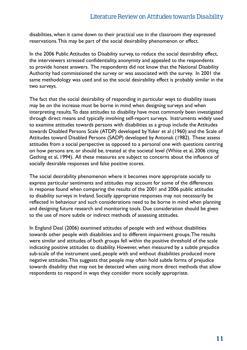disabilities, when it came down to their practical use in the classroom they expressed reservations. This may be part of the social desirability phenomenon or effect.

In the 2006 Public Attitudes to Disability survey, to reduce the social desirability effect, the interviewers stressed confidentiality, anonymity and appealed to the respondents to provide honest answers. The respondents did not know that the National Disability Authority had commissioned the survey or was associated with the survey. In 2001 the same methodology was used and so the social desirability effect is probably similar in the two surveys.

The fact that the social desirability of responding in particular ways to disability issues may be on the increase must be borne in mind when designing surveys and when interpreting results. To date attitudes to disability have most commonly been investigated through direct means and typically involving self-report surveys. Instruments widely used to examine attitudes towards persons with disabilities as a group include the Attitudes towards Disabled Persons Scale (ATDP) developed by Yuker et al (1960) and the Scale of Attitudes toward Disabled Persons (SADP) developed by Antonak (1982). These assess attitudes from a social perspective as opposed to a personal one with questions centring on how persons are, or should be, treated at the societal level (White et al, 2006 citing Gething et al, 1994). All these measures are subject to concerns about the influence of socially desirable responses and false positive scores.

The social desirability phenomenon where it becomes more appropriate socially to express particular sentiments and attitudes may account for some of the differences in response found when comparing the results of the 2001 and 2006 public attitudes to disability surveys in Ireland. Socially appropriate responses may not necessarily be reflected in behaviour and such considerations need to be borne in mind when planning and designing future research and monitoring tools. Due consideration should be given to the use of more subtle or indirect methods of assessing attitudes.

In England Deal (2006) examined attitudes of people with and without disabilities towards other people with disabilities and to different impairment groups. The results were similar and attitudes of both groups fell within the positive threshold of the scale indicating positive attitudes to disability. However, when measured by a subtle prejudice sub-scale of the instrument used, people with and without disabilities produced more negative attitudes. This suggests that people may often hold subtle forms of prejudice towards disability that may not be detected when using more direct methods that allow respondents to respond in ways they consider more socially appropriate.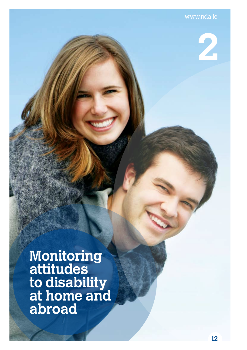**2** 

**Monitoring attitudes to disability at home and abroad**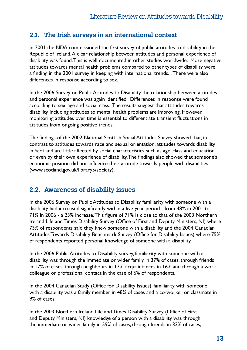**2.1. The Irish surveys in an international context**<br>In 2001 the NDA commissioned the first survey of public attitudes t<br>Republic of Ireland. A clear relationship between attitudes and perso<br>disability was found. This is w In 2001 the NDA commissioned the first survey of public attitudes to disability in the Republic of Ireland. A clear relationship between attitudes and personal experience of disability was found. This is well documented in other studies worldwide. More negative attitudes towards mental health problems compared to other types of disability were a finding in the 2001 survey in keeping with international trends. There were also differences in response according to sex.

> In the 2006 Survey on Public Attitudes to Disability the relationship between attitudes and personal experience was again identified. Differences in response were found according to sex, age and social class. The results suggest that attitudes towards disability including attitudes to mental health problems are improving. However, monitoring attitudes over time is essential to differentiate transient fluctuations in attitudes from ongoing positive trends.

> The findings of the 2002 National Scottish Social Attitudes Survey showed that, in contrast to attitudes towards race and sexual orientation, attitudes towards disability in Scotland are little affected by social characteristics such as age, class and education, or even by their own experience of disability. The findings also showed that someone's economic position did not influence their attitude towards people with disabilities (www.scotland.gov.uk/library5/society).

#### **2.2. Awareness of disability issues**

In the 2006 Survey on Public Attitudes to Disability familiarity with someone with a disability had increased significantly within a five-year period - from 48% in 2001 to 71% in 2006 - a 23% increase. This figure of 71% is close to that of the 2003 Northern Ireland Life and Times Disability Survey (Office of First and Deputy Ministers, NI) where 73% of respondents said they knew someone with a disability and the 2004 Canadian Attitudes Towards Disability Benchmark Survey (Office for Disability Issues) where 75% of respondents reported personal knowledge of someone with a disability.

In the 2006 Public Attitudes to Disability survey, familiarity with someone with a disability was through the immediate or wider family in 37% of cases, through friends in 17% of cases, through neighbours in 17%, acquaintances in 16% and through a work colleague or professional contact in the case of 6% of respondents.

In the 2004 Canadian Study (Office for Disability Issues), familiarity with someone with a disability was a family member in 48% of cases and a co-worker or classmate in 9% of cases.

In the 2003 Northern Ireland Life and Times Disability Survey (Office of First and Deputy Ministers, NI) knowledge of a person with a disability was through the immediate or wider family in 59% of cases, through friends in 33% of cases,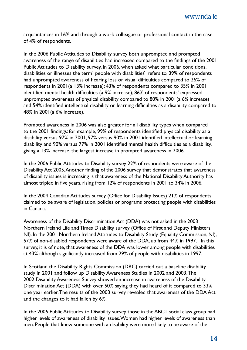acquaintances in 16% and through a work colleague or professional contact in the case of 4% of respondents.

In the 2006 Public Attitudes to Disability survey both unprompted and prompted awareness of the range of disabilities had increased compared to the findings of the 2001 Public Attitudes to Disability survey. In 2006, when asked what particular conditions, disabilities or illnesses the term` people with disabilities refers to, 39% of respondents had unprompted awareness of hearing loss or visual difficulties compared to 26% of respondents in 2001(a 13% increase); 43% of respondents compared to 35% in 2001 identified mental health difficulties (a 9% increase); 86% of respondents' expressed unprompted awareness of physical disability compared to 80% in 2001(a 6% increase) and 54% identified intellectual disability or learning difficulties as a disability compared to 48% in 2001(a 6% increase).

Prompted awareness in 2006 was also greater for all disability types when compared to the 2001 findings: for example, 99% of respondents identified physical disability as a disability versus 97% in 2001, 97% versus 90% in 2001 identified intellectual or learning disability and 90% versus 77% in 2001 identified mental health difficulties as a disability, giving a 13% increase, the largest increase in prompted awareness in 2006.

In the 2006 Public Attitudes to Disability survey 22% of respondents were aware of the Disability Act 2005. Another finding of the 2006 survey that demonstrates that awareness of disability issues is increasing is that awareness of the National Disability Authority has almost tripled in five years, rising from 12% of respondents in 2001 to 34% in 2006.

In the 2004 Canadian Attitudes survey (Office for Disability Issues) 21% of respondents claimed to be aware of legislation, policies or programs protecting people with disabilities in Canada.

Awareness of the Disability Discrimination Act (DDA) was not asked in the 2003 Northern Ireland Life and Times Disability survey (Office of First and Deputy Ministers, NI). In the 2001 Northern Ireland Attitudes to Disability Study (Equality Commission, NI), 57% of non-disabled respondents were aware of the DDA, up from 44% in 1997. In this survey, it is of note, that awareness of the DDA was lower among people with disabilities at 43% although significantly increased from 29% of people with disabilities in 1997.

In Scotland the Disability Rights Commission (DRC) carried out a baseline disability study in 2001 and follow up Disability Awareness Studies in 2002 and 2003. The 2002 Disability Awareness Survey showed an increase in awareness of the Disability Discrimination Act (DDA) with over 50% saying they had heard of it compared to 33% one year earlier. The results of the 2003 survey revealed that awareness of the DDA Act and the changes to it had fallen by 6%.

In the 2006 Public Attitudes to Disability survey those in the ABC1 social class group had higher levels of awareness of disability issues. Women had higher levels of awareness than men. People that knew someone with a disability were more likely to be aware of the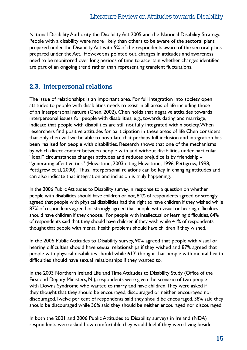National Disability Authority, the Disability Act 2005 and the National Disability Strategy. People with a disability were more likely than others to be aware of the sectoral plans prepared under the Disability Act with 5% of the respondents aware of the sectoral plans prepared under the Act. However, as pointed out, changes in attitudes and awareness need to be monitored over long periods of time to ascertain whether changes identified are part of an ongoing trend rather than representing transient fluctuations.

#### **2.3. Interpersonal relations**

The issue of relationships is an important area. For full integration into society open attitudes to people with disabilities needs to exist in all areas of life including those of an interpersonal nature (Chen, 2002). Chen holds that negative attitudes towards interpersonal issues for people with disabilities, e.g., towards dating and marriage, indicate that people with disabilities are still not fully integrated within society. When researchers find positive attitudes for participation in these areas of life Chen considers that only then will we be able to postulate that perhaps full inclusion and integration has been realised for people with disabilities. Research shows that one of the mechanisms by which direct contact between people with and without disabilities under particular "ideal" circumstances changes attitudes and reduces prejudice is by friendship - "generating affective ties" (Hewstone, 2003 citing Hewstone, 1996; Pettigrew, 1998; Pettigrew et al, 2000). Thus, interpersonal relations can be key in changing attitudes and can also indicate that integration and inclusion is truly happening.

In the 2006 Public Attitudes to Disability survey, in response to a question on whether people with disabilities should have children or not, 84% of respondents agreed or strongly agreed that people with physical disabilities had the right to have children if they wished while 87% of respondents agreed or strongly agreed that people with visual or hearing difficulties should have children if they choose. For people with intellectual or learning difficulties, 64% of respondents said that they should have children if they wish while 41% of respondents thought that people with mental health problems should have children if they wished.

In the 2006 Public Attitudes to Disability survey, 90% agreed that people with visual or hearing difficulties should have sexual relationships if they wished and 87% agreed that people with physical disabilities should while 61% thought that people with mental health difficulties should have sexual relationships if they wanted to.

In the 2003 Northern Ireland Life and Time Attitudes to Disability Study (Office of the First and Deputy Ministers, NI), respondents were given the scenario of two people with Downs Syndrome who wanted to marry and have children. They were asked if they thought that they should be encouraged, discouraged or neither encouraged nor discouraged. Twelve per cent of respondents said they should be encouraged, 38% said they should be discouraged while 36% said they should be neither encouraged nor discouraged.

In both the 2001 and 2006 Public Attitudes to Disability surveys in Ireland (NDA) respondents were asked how comfortable they would feel if they were living beside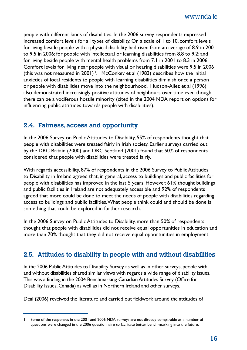people with different kinds of disabilities. In the 2006 survey respondents expressed increased comfort levels for all types of disability. On a scale of 1 to 10, comfort levels for living beside people with a physical disability had risen from an average of 8.9 in 2001 to 9.5 in 2006; for people with intellectual or learning disabilities from 8.8 to 9.2; and for living beside people with mental health problems from 7.1 in 2001 to 8.3 in 2006. Comfort levels for living near people with visual or hearing disabilities were 9.5 in 2006 (this was not measured in 2001)<sup>1</sup>. McConkey et al (1983) describes how the initial anxieties of local residents to people with learning disabilities diminish once a person or people with disabilities move into the neighbourhood. Hudson-Allez et al (1996) also demonstrated increasingly positive attitudes of neighbours over time even though there can be a vociferous hostile minority (cited in the 2004 NDA report on options for influencing public attitudes towards people with disabilities).

#### **2.4. Fairness, access and opportunity**

In the 2006 Survey on Public Attitudes to Disability, 55% of respondents thought that people with disabilities were treated fairly in Irish society. Earlier surveys carried out by the DRC Britain (2000) and DRC Scotland (2001) found that 50% of respondents considered that people with disabilities were treated fairly.

With regards accessibility, 87% of respondents in the 2006 Survey to Public Attitudes to Disability in Ireland agreed that, in general, access to buildings and public facilities for people with disabilities has improved in the last 5 years. However, 61% thought buildings and public facilities in Ireland are not adequately accessible and 92% of respondents agreed that more could be done to meet the needs of people with disabilities regarding access to buildings and public facilities. What people think could and should be done is something that could be explored in further research.

In the 2006 Survey on Public Attitudes to Disability, more than 50% of respondents thought that people with disabilities did not receive equal opportunities in education and more than 70% thought that they did not receive equal opportunities in employment.

#### **2.5. Attitudes to disability in people with and without disabilities**

In the 2006 Public Attitudes to Disability Survey, as well as in other surveys, people with and without disabilities shared similar views with regards a wide range of disability issues. This was a finding in the 2004 Benchmarking Canadian Attitudes Survey (Office for Disability Issues, Canada) as well as in Northern Ireland and other surveys.

Deal (2006) reveiwed the literature and carried out fieldwork around the attitudes of

<sup>1</sup> Some of the responses in the 2001 and 2006 NDA surveys are not directly comparable as a number of questions were changed in the 2006 questionnaire to facilitate better bench-marking into the future.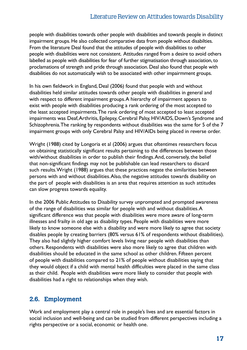#### Literature Review on Attitudes towards Disability

people with disabilities towards other people with disabilities and towards people in distinct impairment groups. He also collected comparative data from people without disabilties. From the literature Deal found that the attitudes of people with disabilities to other people with disabilities were not consistent. Attitudes ranged from a desire to avoid others labelled as people with disabilities for fear of further stigmatisation through association, to proclamations of strength and pride through association. Deal also found that people with disabilities do not automatically wish to be associated with other impairmment groups.

In his own fieldwork in England, Deal (2006) found that people with and without disabilities held similar attitudes towards other people with disabilities in general and with respect to different impairment groups. A hierarchy of impairment appears to exist with people with disabilities producing a rank ordering of the most accepted to the least accepted impairments. The rank ordering of most accepted to least accepted impairments was Deaf, Arthritis, Epilepsy, Cerebral Palsy, HIV/AIDS, Down's Syndrome and Schizophrenia. The ranking by respondents without disabilities was the same for 5 of the 7 impairment groups with only Cerebral Palsy and HIV/AIDs being placed in reverse order.

Wright (1988) cited by Longoria et al (2006) argues that oftentimes researchers focus on obtaining statistically significant results pertaining to the differences between those with/without disabilities in order to publish their findings. And, conversely, the belief that non-significant findings may not be publishable can lead researchers to discard such results. Wright (1988) argues that these practices negate the similarities between persons with and without disabilities. Also, the negative attitudes towards disability on the part of people with disabilities is an area that requires attention as such attitudes can slow progress towards equality.

In the 2006 Public Attitudes to Disability survey unprompted and prompted awareness of the range of disabilities was similar for people with and without disabilities. A significant difference was that people with disabilities were more aware of long-term illnesses and frailty in old age as disability types. People with disabilities were more likely to know someone else with a disability and were more likely to agree that society disables people by creating barriers (80% versus 61% of respondents without disabilities). They also had slightly higher comfort levels living near people with disabilities than others. Respondents with disabilities were also more likely to agree that children with disabilities should be educated in the same school as other children. Fifteen percent of people with disabilities compared to 21% of people without disabilities saying that they would object if a child with mental health difficulties were placed in the same class as their child. People with disabilities were more likely to consider that people with disabilities had a right to relationships when they wish.

#### **2.6. Employment**

Work and employment play a central role in people's lives and are essential factors in social inclusion and well-being and can be studied from different perspectives including a rights perspective or a social, economic or health one.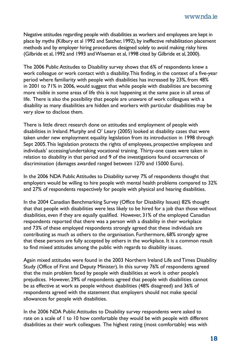Negative attitudes regarding people with disabilities as workers and employees are kept in place by myths (Kilbury et al 1992 and Satcher, 1992), by ineffective rehabilitation placement methods and by employer hiring procedures designed solely to avoid making risky hires (Gilbride et al, 1992 and 1993 and Wiseman et al, 1998 cited by Gilbride et al, 2000).

The 2006 Public Attitudes to Disability survey shows that 6% of respondents knew a work colleague or work contact with a disability. This finding, in the context of a five-year period where familiarity with people with disabilities has increased by 23%, from 48% in 2001 to 71% in 2006, would suggest that while people with disabilities are becoming more visible in some areas of life this is not happening at the same pace in all areas of life. There is also the possibility that people are unaware of work colleagues with a disability as many disabilities are hidden and workers with particular disabilities may be very slow to disclose them.

There is little direct research done on attitudes and employment of people with disabilities in Ireland. Murphy and O' Leary (2005) looked at disability cases that were taken under new employment equality legislation from its introduction in 1998 through Sept 2005. This legislation protects the rights of employees, prospective employees and individuals' accessing/undertaking vocational training. Thirty-one cases were taken in relation to disability in that period and 9 of the investigations found occurrences of discrimination (damages awarded ranged between 1270 and 15000 Euro).

In the 2006 NDA Public Attitudes to Disability survey 7% of respondents thought that employers would be willing to hire people with mental health problems compared to 32% and 27% of respondents respectively for people with physical and hearing disabilities.

In the 2004 Canadian Benchmarking Survey (Office for Disability Issues) 82% thought that that people with disabilities were less likely to be hired for a job than those without disabilities, even if they are equally qualified. However, 31% of the employed Canadian respondents reported that there was a person with a disability in their workplace and 73% of these employed respondents strongly agreed that these individuals are contributing as much as others to the organisation. Furthermore, 68% strongly agree that these persons are fully accepted by others in the workplace. It is a common result to find mixed attitudes among the public with regards to disability issues.

Again mixed attitudes were found in the 2003 Northern Ireland Life and Times Disability Study (Office of First and Deputy Minister). In this survey 76% of respondents agreed that the main problem faced by people with disabilities at work is other people's prejudices. However, 29% of respondents agreed that people with disabilities cannot be as effective at work as people without disabilities (48% disagreed) and 36% of respondents agreed with the statement that employers should not make special allowances for people with disabilities.

In the 2006 NDA Public Attitudes to Disability survey respondents were asked to rate on a scale of 1 to 10 how comfortable they would be with people with different disabilities as their work colleagues. The highest rating (most comfortable) was with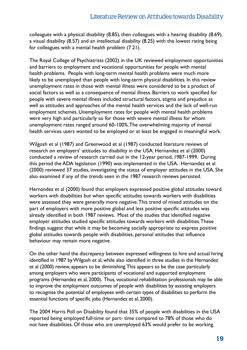colleagues with a physical disability (8.85), then colleagues with a hearing disability (8.69), a visual disability (8.57) and an intellectual disability (8.25) with the lowest rating being for colleagues with a mental health problem (7.21).

The Royal College of Psychiatrists (2002) in the UK reviewed employment opportunities and barriers to employment and vocational opportunities for people with mental health problems. People with long-term mental health problems were much more likely to be unemployed than people with long-term physical disabilities. In this review unemployment rates in those with mental illness were considered to be a product of social factors as well as a consequence of mental illness. Barriers to work specified for people with severe mental illness included structural factors, stigma and prejudice as well as attitudes and approaches of the mental health services and the lack of well-run employment schemes. Unemployment rates for people with mental health problems were very high and particularly so for those with severe mental illness for whom unemployment rates ranged around 60-100%. The overwhelming majority of mental health services users wanted to be employed or at least be engaged in meaningful work.

Wilgosh et al (1987) and Greenwood et al (1987) conducted literature reviews of research on employers' attitudes to disability in the USA. Hernandez et al (2000) conducted a review of research carried out in the 12-year period, 1987-1999. During this period the ADA legislation (1990) was implemented in the USA. Hernandez et al (2000) reviewed 37 studies, investigating the status of employer attitudes in the USA. She also examined if any of the trends seen in the 1987 research reviews persisted.

Hernandez et al (2000) found that employers expressed positive global attitudes toward workers with disabilities but when specific attitudes towards workers with disabilities were assessed they were generally more negative. This trend of mixed attitudes on the part of employers with more positive global and less positive specific attitudes was already identified in both 1987 reviews. Most of the studies that identified negative employer attitudes studied specific attitudes towards workers with disabilities. These findings suggest that while it may be becoming socially appropriate to express positive global attitudes towards people with disabilities, personal attitudes that influence behaviour may remain more negative.

On the other hand the discrepancy between expressed willingness to hire and actual hiring identified in 1987 by Wilgosh et al, while also identified in three studies in the Hernandez et al (2000) review, appears to be diminishing. This appears to be the case particularly among employers who were participants of vocational and supported employment programs (Hernandez et al, 2000). Thus, vocational rehabilitation professionals may be able to improve the employment outcomes of people with disabilities by assisting employers to recognise the potential of employees with certain types of disabilities to perform the essential functions of specific jobs (Hernandez et al, 2000).

The 2004 Harris Poll on Disability found that 35% of people with disabilities in the USA reported being employed full-time or part- time compared to 78% of those who do not have disabilities. Of those who are unemployed 63% would prefer to be working.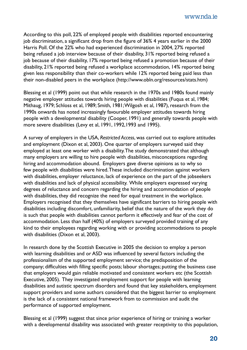According to this poll, 22% of employed people with disabilities reported encountering job discrimination, a significant drop from the figure of 36% 4 years earlier in the 2000 Harris Poll. Of the 22% who had experienced discrimination in 2004, 27% reported being refused a job interview because of their disability, 31% reported being refused a job because of their disability, 17% reported being refused a promotion because of their disability, 21% reported being refused a workplace accommodation, 14% reported being given less responsibility than their co-workers while 12% reported being paid less than their non-disabled peers in the workplace (http://www.obln.org/resources/stats.htm)

Blessing et al (1999) point out that while research in the 1970s and 1980s found mainly negative employer attitudes towards hiring people with disabilities (Fuqua et al, 1984; Mithaug, 1979; Schloss et al, 1989; Smith, 1981; Wilgosh et al, 1987), research from the 1990s onwards has noted increasingly favourable employer attitudes towards hiring people with a developmental disability (Cooper, 1991) and generally towards people with more severe disabilities (Levy et al, 1991, 1992,1993 and 1995).

A survey of employers in the USA, *Restricted Access*, was carried out to explore attitudes and employment (Dixon et al, 2003). One quarter of employers surveyed said they employed at least one worker with a disability. The study demonstrated that although many employers are willing to hire people with disabilities, misconceptions regarding hiring and accommodation abound. Employers gave diverse opinions as to why so few people with disabilities were hired. These included discrimination against workers with disabilities, employer reluctance, lack of experience on the part of the jobseekers with disabilities and lack of physical accessibility. While employers expressed varying degrees of reluctance and concern regarding the hiring and accommodation of people with disabilities, they did recognize the need for equal treatment in the workplace. Employers recognised that they themselves have significant barriers to hiring people with disabilities including discomfort, unfamiliarity, belief that the nature of the work they do is such that people with disabilities cannot perform it effectively and fear of the cost of accommodation. Less than half (40%) of employers surveyed provided training of any kind to their employees regarding working with or providing accommodations to people with disabilities (Dixon et al, 2003).

In research done by the Scottish Executive in 2005 the decision to employ a person with learning disabilities and or ASD was influenced by several factors including the professionalism of the supported employment service; the predisposition of the company; difficulties with filling specific posts; labour shortages; putting the business case that employers would gain reliable motivated and consistent workers etc (the Scottish Executive, 2005). They investigated employment support for people with learning disabilities and autistic spectrum disorders and found that key stakeholders, employment support providers and some authors considered that the biggest barrier to employment is the lack of a consistent national framework from to commission and audit the performance of supported employment.

Blessing et al (1999) suggest that since prior experience of hiring or training a worker with a developmental disability was associated with greater receptivity to this population,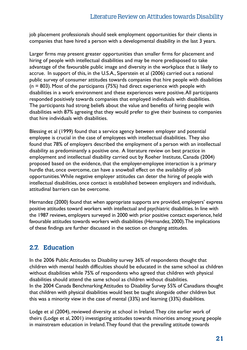job placement professionals should seek employment opportunities for their clients in companies that have hired a person with a developmental disability in the last 3 years.

Larger firms may present greater opportunities than smaller firms for placement and hiring of people with intellectual disabilities and may be more predisposed to take advantage of the favourable public image and diversity in the workplace that is likely to accrue. In support of this, in the U.S.A., Siperstein et al (2006) carried out a national public survey of consumer attitudes towards companies that hire people with disabilities  $(n = 803)$ . Most of the participants (75%) had direct experience with people with disabilities in a work environment and these experiences were positive. All participants responded positively towards companies that employed individuals with disabilities. The participants had strong beliefs about the value and benefits of hiring people with disabilities with 87% agreeing that they would prefer to give their business to companies that hire individuals with disabilities.

Blessing et al (1999) found that a service agency between employer and potential employee is crucial in the case of employees with intellectual disabilities. They also found that 78% of employers described the employment of a person with an intellectual disability as predominantly a positive one. A literature review on best practice in employment and intellectual disability carried out by Roeher Institute, Canada (2004) proposed based on the evidence, that the employer-employee interaction is a primary hurdle that, once overcome, can have a snowball effect on the availability of job opportunities. While negative employer attitudes can deter the hiring of people with intellectual disabilities, once contact is established between employers and individuals, attitudinal barriers can be overcome.

Hernandez (2000) found that when appropriate supports are provided, employers' express positive attitudes toward workers with intellectual and psychiatric disabilities. In line with the 1987 reviews, employers surveyed in 2000 with prior positive contact experience, held favourable attitudes towards workers with disabilities (Hernandez, 2000). The implications of these findings are further discussed in the section on changing attitudes.

### **2.7. Education**

In the 2006 Public Attitudes to Disability survey 36% of respondents thought that children with mental health difficulties should be educated in the same school as children without disabilities while 75% of respondents who agreed that children with physical disabilities should attend the same school as children without disabilities. In the 2004 Canada Benchmarking Attitudes to Disability Survey 55% of Canadians thought that children with physical disabilities would best be taught alongside other children but this was a minority view in the case of mental (33%) and learning (33%) disabilities.

Lodge et al (2004), reviewed diversity at school in Ireland. They cite earlier work of theirs (Lodge et al, 2001) investigating attitudes towards minorities among young people in mainstream education in Ireland. They found that the prevailing attitude towards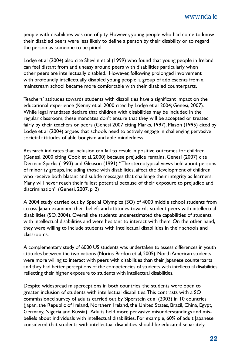people with disabilities was one of pity. However, young people who had come to know their disabled peers were less likely to define a person by their disability or to regard the person as someone to be pitied.

Lodge et al (2004) also cite Shevlin et al (1999) who found that young people in Ireland can feel distant from and uneasy around peers with disabilities particularly when other peers are intellectually disabled. However, following prolonged involvement with profoundly intellectually disabled young people, a group of adolescents from a mainstream school became more comfortable with their disabled counterparts.

Teachers' attitudes towards students with disabilities have a significant impact on the educational experience (Kenny et al, 2000 cited by Lodge et al 2004; Genesi, 2007). While legal mandates declare that children with disabilities may be included in the regular classroom, these mandates don't ensure that they will be accepted or treated fairly by their teachers or peers (Genesi 2007 citing Marks, 1997). Mason (1995) cited by Lodge et al (2004) argues that schools need to actively engage in challenging pervasive societal attitudes of able-bodyism and able-mindedness.

Research indicates that inclusion can fail to result in positive outcomes for children (Genesi, 2000 citing Cook et al, 2000) because prejudice remains. Genesi (2007) cite Derman-Sparks (1993) and Gleason (1991): "The stereotypical views held about persons of minority groups, including those with disabilities, affect the development of children who receive both blatant and subtle messages that challenge their integrity as learners. Many will never reach their fullest potential because of their exposure to prejudice and discrimination" (Genesi, 2007, p. 2)

A 2004 study carried out by Special Olympics (SO) of 4000 middle school students from across Japan examined their beliefs and attitudes towards student peers with intellectual disabilities (SO, 2004). Overall the students underestimated the capabilities of students with intellectual disabilities and were hesitant to interact with them. On the other hand, they were willing to include students with intellectual disabilities in their schools and classrooms.

A complementary study of 6000 US students was undertaken to assess differences in youth attitudes between the two nations (Norins-Bardon et al, 2005). North American students were more willing to interact with peers with disabilities than their Japanese counterparts and they had better perceptions of the competencies of students with intellectual disabilities reflecting their higher exposure to students with intellectual disabilities.

Despite widespread misperceptions in both countries, the students were open to greater inclusion of students with intellectual disabilities. This contrasts with a SO commissioned survey of adults carried out by Siperstein et al (2003) in 10 countries (Japan, the Republic of Ireland, Northern Ireland, the United States, Brazil, China, Egypt, Germany, Nigeria and Russia). Adults held more pervasive misunderstandings and misbeliefs about individuals with intellectual disabilities. For example, 60% of adult Japanese considered that students with intellectual disabilities should be educated separately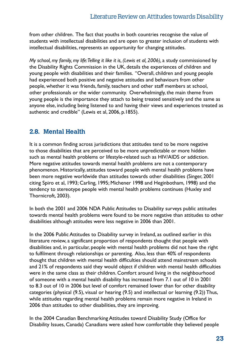from other children. The fact that youths in both countries recognise the value of students with intellectual disabilities and are open to greater inclusion of students with intellectual disabilities, represents an opportunity for changing attitudes.

*My school, my family, my life: Telling it like it is, (Lewis et al, 2006), a study commissioned by* the Disability Rights Commission in the UK, details the experiences of children and young people with disabilities and their families. "Overall, children and young people had experienced both positive and negative attitudes and behaviours from other people, whether it was friends, family, teachers and other staff members at school, other professionals or the wider community. Overwhelmingly, the main theme from young people is the importance they attach to being treated sensitively and the same as anyone else, including being listened to and having their views and experiences treated as authentic and credible" (Lewis et al, 2006, p.1855).

#### **2.8. Mental Health**

It is a common finding across jurisdictions that attitudes tend to be more negative to those disabilities that are perceived to be more unpredictable or more hidden such as mental health problems or lifestyle-related such as HIV/AIDS or addiction. More negative attitudes towards mental health problems are not a contemporary phenomenon. Historically, attitudes toward people with mental health problems have been more negative worldwide than attitudes towards other disabilities (Singer, 2001 citing Spiro et al, 1993; Carling, 1995; Michener 1998 and Heginbotham, 1998) and the tendency to stereotype people with mental health problems continues (Huxley and Thornicroft, 2003).

In both the 2001 and 2006 NDA Public Attitudes to Disability surveys public attitudes towards mental health problems were found to be more negative than attitudes to other disabilities although attitudes were less negative in 2006 than 2001.

In the 2006 Public Attitudes to Disability survey in Ireland, as outlined earlier in this literature review, a significant proportion of respondents thought that people with disabilities and, in particular, people with mental health problems did not have the right to fulfilment through relationships or parenting. Also, less than 40% of respondents thought that children with mental health difficulties should attend mainstream schools and 21% of respondents said they would object if children with mental health difficulties were in the same class as their children. Comfort around living in the neighbourhood of someone with a mental health disability has increased from 7.1 out of 10 in 2001 to 8.3 out of 10 in 2006 but level of comfort remained lower than for other disability categories (physical (9.5), visual or hearing (9.5) and intellectual or learning (9.2)) Thus, while attitudes regarding mental health problems remain more negative in Ireland in 2006 than attitudes to other disabilities, they are improving.

In the 2004 Canadian Benchmarking Attitudes toward Disability Study (Office for Disability Issues, Canada) Canadians were asked how comfortable they believed people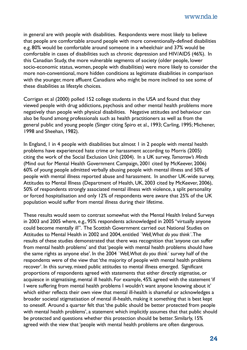in general are with people with disabilities. Respondents were most likely to believe that people are comfortable around people with more conventionally-defined disabilities e.g. 80% would be comfortable around someone in a wheelchair and 37% would be comfortable in cases of disabilities such as chronic depression and HIV/AIDS (46%). In this Canadian Study, the more vulnerable segments of society (older people, lower socio-economic status, women, people with disabilities) were more likely to consider the more non-conventional, more hidden conditions as legitimate disabilities in comparison with the younger, more affluent Canadians who might be more inclined to see some of these disabilities as lifestyle choices.

Corrigan et al (2000) polled 152 college students in the USA and found that they viewed people with drug addictions, psychosis and other mental health problems more negatively than people with physical disabilities. Negative attitudes and behaviour can also be found among professionals such as health practitioners as well as from the general public and young people (Singer citing Spiro et al., 1993; Carling, 1995; Michener, 1998 and Sheehan, 1982).

In England, I in 4 people with disabilities but almost I in 2 people with mental health problems have experienced hate crime or harassment according to Morris (2005) citing the work of the Social Exclusion Unit (2004). In a UK survey, *Tomorrow's Minds* (Mind out for Mental Health Government Campaign, 2001 cited by McKeever, 2006) 60% of young people admitted verbally abusing people with mental illness and 50% of people with mental illness reported abuse and harassment. In another UK-wide survey, Attitudes to Mental Illness (Department of Health, UK, 2003 cited by McKeever, 2006), 50% of respondents strongly associated mental illness with violence, a split personality or forced hospitalisation and only 12% of respondents were aware that 25% of the UK population would suffer from mental illness during their lifetime.

These results would seem to contrast somewhat with the Mental Health Ireland Surveys in 2003 and 2005 where, e.g., 95% respondents acknowledged in 2005 "virtually anyone could become mentally ill". The Scottish Government carried out National Studies on Attitudes to Mental Health in 2002 and 2004, entitled *`Well, What do you think´*. The results of these studies demonstrated that there was recognition that 'anyone can suffer from mental health problems' and that 'people with mental health problems should have the same rights as anyone else'. In the 2004 *`Well, What do you think´* survey half of the respondents were of the view that 'the majority of people with mental health problems recover'. In this survey, mixed public attitudes to mental illness emerged. Significant proportions of respondents agreed with statements that either directly stigmatise, or acquiesce in stigmatising, mental ill health. For example, 45% agreed with the statement 'if I were suffering from mental health problems I wouldn't want anyone knowing about it' which either reflects their own view that mental ill-health is shameful or acknowledges a broader societal stigmatisation of mental ill-health, making it something that is best kept to oneself. Around a quarter felt that 'the public should be better protected from people with mental health problems', a statement which implicitly assumes that that public should be protected and questions whether this protection should be better. Similarly, 15% agreed with the view that 'people with mental health problems are often dangerous.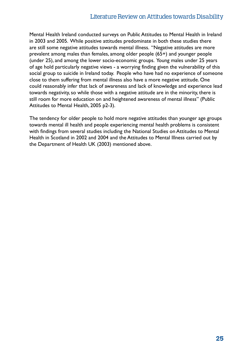#### Literature Review on Attitudes towards Disability

Mental Health Ireland conducted surveys on Public Attitudes to Mental Health in Ireland in 2003 and 2005. While positive attitudes predominate in both these studies there are still some negative attitudes towards mental illness. "Negative attitudes are more prevalent among males than females, among older people (65+) and younger people (under 25), and among the lower socio-economic groups. Young males under 25 years of age hold particularly negative views - a worrying finding given the vulnerability of this social group to suicide in Ireland today. People who have had no experience of someone close to them suffering from mental illness also have a more negative attitude. One could reasonably infer that lack of awareness and lack of knowledge and experience lead towards negativity, so while those with a negative attitude are in the minority, there is still room for more education on and heightened awareness of mental illness" (Public Attitudes to Mental Health, 2005 p2-3).

The tendency for older people to hold more negative attitudes than younger age groups towards mental ill health and people experiencing mental health problems is consistent with findings from several studies including the National Studies on Attitudes to Mental Health in Scotland in 2002 and 2004 and the Attitudes to Mental Illness carried out by the Department of Health UK (2003) mentioned above.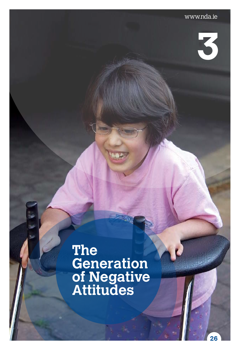**3** 

**26**

## **The Generation of Negative Attitudes**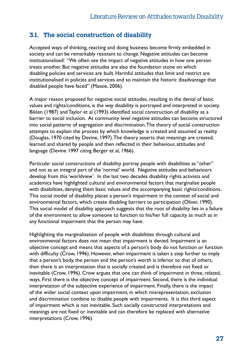**3.1. The social construction of disability**<br>Accepted ways of thinking, reacting and doing business b<br>society and can be remarkably resistant to change. Nega<br>institutionalised: "We often see the impact of negative a<br>treats Accepted ways of thinking, reacting and doing business become firmly embedded in society and can be remarkably resistant to change. Negative attitudes can become institutionalised: "We often see the impact of negative attitudes in how one person treats another. But negative attitudes are also the foundation stone on which disabling policies and services are built. Harmful attitudes that limit and restrict are institutionalised in policies and services and so maintain the historic disadvantage that disabled people have faced" (Massie, 2006).

> A major reason proposed for negative social attitudes, resulting in the denial of basic values and rights/conditions, is the way disability is portrayed and interpreted in society. Biklen (1987) and Taylor et al (1993) identified social construction of disability as a barrier to social inclusion. At community level negative attitudes can become structured into social patterns of segregation and discrimination. The theory of social construction attempts to explain the process by which knowledge is created and assumed as reality (Douglas, 1970 cited by Devine, 1997). The theory asserts that meanings are created, learned and shared by people and then reflected in their behaviour, attitudes and language (Devine 1997 citing Berger et al, 1966).

> Particular social constructions of disability portray people with disabilities as "other" and not as an integral part of the 'normal' world. Negative attitudes and behaviours develop from this 'worldview'. In the last two decades disability rights activists and academics have highlighted cultural and environmental factors that marginalise people with disabilities, denying them basic values and the accompanying basic rights/conditions. This social model of disability places a person's impairment in the context of social and environmental factors, which create disabling barriers to participation (Oliver, 1990). This social model of disability approach suggests that the root of disability lies in a failure of the environment to allow someone to function to his/her full capacity as much as in any functional impairment that the person may have.

> Highlighting the marginalisation of people with disabilities through cultural and environmental factors does not mean that impairment is denied. Impairment is an objective concept and means that aspects of a person's body do not function or function with difficulty (Crow, 1996). However, when impairment is taken a step further to imply that a person's body, the person and the person's worth is inferior to that of others, then there is an interpretation that is socially created and is therefore not fixed or inevitable (Crow, 1996). Crow argues that one can think of impairment in three, related, ways. First there is the objective concept of impairment. Second, there is the individual interpretation of the subjective experience of impairment. Finally, there is the impact of the wider social context upon impairment, in which misrepresentation, exclusion and discrimination combine to disable people with impairments. It is this third aspect of impairment which is not inevitable. Such socially constructed interpretations and meanings are not fixed or inevitable and can therefore be replaced with alternative interpretations (Crow, 1996).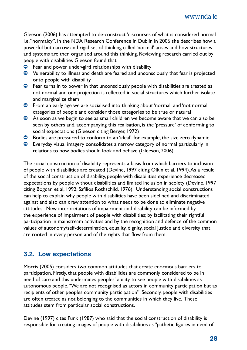Gleeson (2006) has attempted to de-construct 'discourses of what is considered normal i.e. "normalcy". In the NDA Research Conference in Dublin in 2006 she describes how a powerful but narrow and rigid set of thinking called 'normal' arises and how structures and systems are then organised around this thinking. Reviewing research carried out by people with disabilities Gleeson found that

- $\bullet$  Fear and power under-gird relationships with disability
- $\bullet$  Vulnerability to illness and death are feared and unconsciously that fear is projected onto people with disability
- $\bullet$  Fear turns in to power in that unconsciously people with disabilities are treated as not normal and our projection is reflected in social structures which further isolate and marginalize them
- Ú From an early age we are socialised into thinking about 'normal' and 'not normal' categories of people and consider those categories to be true or natural
- $\bullet$  As soon as we begin to see as small children we become aware that we can also be seen by others and, accompanying this realisation, is the 'pressure' of conforming to social expectations (Gleeson citing Berger, 1972)
- Ú Bodies are pressured to conform to an 'ideal', for example, the size zero dynamic
- $\bullet$  Everyday visual imagery consolidates a narrow category of normal particularly in relations to how bodies should look and behave (Gleeson, 2006)

The social construction of disability represents a basis from which barriers to inclusion of people with disabilities are created (Devine, 1997 citing Olkin et al, 1994). As a result of the social construction of disability, people with disabilities experience decreased expectations by people without disabilities and limited inclusion in scoiety (Devine, 1997 citing Bogdan et al, 1992; Safilios Rothschild, 1976). Understanding social constructions can help to explain why people with disabilities have been sidelined and discriminated against and also can draw attention to what needs to be done to eliminate negative attitudes. New interpretations of impairment and disability can be informed by the experience of impairment of people with disabilities; by facilitating their rightful participation in mainstream activities and by the recognition and defence of the common values of autonomy/self-determination, equality, dignity, social justice and diversity that are rooted in every person and of the rights that flow from them.

#### **3.2. Low expectations**

Morris (2005) considers two common attitudes that create enormous barriers to participation. Firstly, that people with disabilities are commonly considered to be in need of care and this undermines peoples' ability to see people with disabilities as autonomous people. "We are not recognised as actors in community participation but as recipients of other peoples community participation". Secondly, people with disabilities are often treated as not belonging to the communities in which they live. These attitudes stem from particular social constructions.

Devine (1997) cites Funk (1987) who said that the social construction of disability is responsible for creating images of people with disabilities as "pathetic figures in need of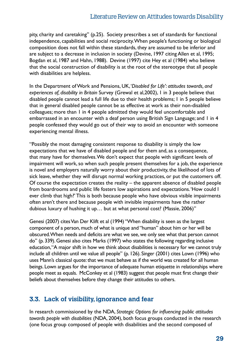#### Literature Review on Attitudes towards Disability

pity, charity and caretaking" (p.25). Society prescribes a set of standards for functional independence, capabilities and social reciprocity. When people's functioning or biological composition does not fall within these standards, they are assumed to be inferior and are subject to a decrease in inclusion in society (Devine, 1997 citing Allen et al, 1995; Bogdan et al, 1987 and Hahn, 1988). Devine (1997) cite Hey et al (1984) who believe that the social construction of disability is at the root of the stereotype that all people with disabilities are helpless.

In the Department of Work and Pensions, UK, '*Disabled for Life'*: *attitudes towards, and experiences of, disability in Britain* Survey (Grewal et al,2002), 1 in 3 people believe that disabled people cannot lead a full life due to their health problems; 1 in 5 people believe that in general disabled people cannot be as effective at work as their non-disabled colleagues; more than 1 in 4 people admitted they would feel uncomfortable and embarrassed in an encounter with a deaf person using British Sign Language; and 1 in 4 people confessed they would go out of their way to avoid an encounter with someone experiencing mental illness.

"Possibly the most damaging consistent response to disability is simply the low expectations that we have of disabled people and for them and, as a consequence, that many have for themselves. We don't expect that people with significant levels of impairment will work, so when such people present themselves for a job, the experience is novel and employers naturally worry about their productivity, the likelihood of lots of sick leave, whether they will disrupt normal working practices, or put the customers off. Of course the expectation creates the reality – the apparent absence of disabled people from boardrooms and public life fosters low aspirations and expectations. 'How could I ever climb that high?' This is both because people who have obvious visible impairments often aren't there and because people with invisible impairments have the rather dubious luxury of hushing it up… but at what personal cost? (Massie, 2006)"

Genesi (2007) cites Van Der Klift et al (1994) "When disability is seen as the largest component of a person, much of what is unique and "human" about him or her will be obscured. When needs and deficits are what we see, we only see what that person cannot do" (p. 339). Genesi also cites Marks (1997) who states the following regarding inclusive education, "A major shift in how we think about disabilities is necessary for we cannot truly include all children until we value all people" (p. 126). Singer (2001) cites Lown (1996) who uses Mann's classical quote: that we must behave as if the world was created for all human beings. Lown argues for the importance of adequate human etiquette in relationships where people meet as equals. McConkey et al (1983) suggest that people must first change their beliefs about themselves before they change their attitudes to others.

#### **3.3. Lack of visibility, ignorance and fear**

In research commissioned by the NDA, *Strategic Options for influencing public attitudes towards people with disabilities* (NDA, 2004), both focus groups conducted in the research (one focus group composed of people with disabilities and the second composed of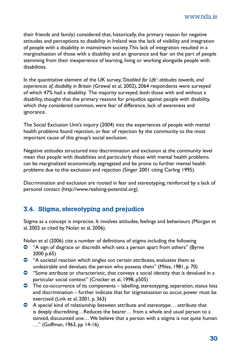their friends and family) considered that, historically, the primary reason for negative attitudes and perceptions to disability in Ireland was the lack of visibility and integration of people with a disability in mainstream society. This lack of integration resulted in a marginalisation of those with a disability and an ignorance and fear on the part of people stemming from their inexperience of learning, living or working alongside people with disabilities.

In the quantitative element of the UK survey, '*Disabled for Life'*: *attitudes towards, and experiences of, disability in Britain* (Grewal et al, 2002), 2064 respondents were surveyed of which 47% had a disability. The majority surveyed, both those with and without a disability, thought that the primary reasons for prejudice against people with disability, which they considered common, were fear of difference, lack of awareness and ignorance.

The Social Exclusion Unit's inquiry (2004) into the experiences of people with mental health problems found rejection, or fear of rejection by the community to the most important cause of this group's social exclusion.

Negative attitudes structured into discrimination and exclusion at the community level mean that people with disabilities and particularly those with mental health problems can be marginalized economically, segregated and be prone to further mental health problems due to this exclusion and rejection (Singer 2001 citing Carling 1995).

Discrimination and exclusion are rooted in fear and stereotyping, reinforced by a lack of personal contact (http://www.realising-potential.org).

### **3.4. Stigma, stereotyping and prejudice**

Stigma as a concept is imprecise. It involves attitudes, feelings and behaviours (Morgan et al, 2002 as cited by Nolan et al, 2006).

Nolan et al (2006) cite a number of definitions of stigma including the following

- <sup>1</sup> A sign of disgrace or discredit which sets a person apart from others" (Byrne 2000 p.65)
- $\bullet$  "A societal reaction which singles out certain attributes, evaluates them as undesirable and devalues the person who possess them" (Miles, 1981, p. 70)
- $\bullet$  "Some attribute or characteristic, that conveys a social identity that is devalued in a particular social context" (Crocker et al, 1998, p505)
- $\bullet$  The co-occurrence of its components labelling, stereotyping, separation, status loss and discrimination – further indicate that for stigmatisation to occur, power must be exercised (Link et al, 2001, p. 363)
- $\bullet$  A special kind of relationship between attribute and stereotype... attribute that is deeply discrediting…Reduces the bearer… from a whole and usual person to a tainted, discounted one… We believe that a person with a stigma is not quite human …" (Goffman, 1963, pp 14-16)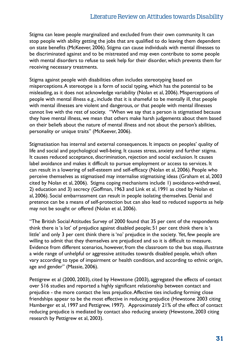#### Literature Review on Attitudes towards Disability

Stigma can leave people marginalized and excluded from their own community. It can stop people with ability getting the jobs that are qualified to do leaving them dependent on state benefits (McKeever, 2006). Stigma can cause individuals with mental illnesses to be discriminated against and to be mistreated and may even contribute to some people with mental disorders to refuse to seek help for their disorder, which prevents them for receiving necessary treatments.

Stigma against people with disabilities often includes stereotyping based on misperceptions. A stereotype is a form of social typing, which has the potential to be misleading, as it does not acknowledge variability (Nolan et al, 2006). Misperceptions of people with mental illness e.g., include that it is shameful to be mentally ill, that people with mental illnesses are violent and dangerous, or that people with mental illnesses cannot live with the rest of society. "When we say that a person is stigmatised because they have mental illness, we mean that others make harsh judgements about them based on their beliefs about the nature of mental illness and not about the person's abilities, personality or unique traits" (McKeever, 2006).

Stigmatisation has internal and external consequences. It impacts on peoples' quality of life and social and psychological well-being. It causes stress, anxiety and further stigma. It causes reduced acceptance, discrimination, rejection and social exclusion. It causes label avoidance and makes it difficult to pursue employment or access to services. It can result in a lowering of self-esteem and self-efficacy (Nolan et al, 2006). People who perceive themselves as stigmatised may internalise stigmatising ideas (Graham et al, 2003 cited by Nolan et al, 2006). Stigma coping mechanisms include 1) avoidance-withdrawal, 2) education and 3) secrecy (Goffman, 1963 and Link et al, 1991 as cited by Nolan et al, 2006). Social embarrassment can result in people isolating themselves. Denial and pretence can be a means of self-protection but can also lead to reduced supports as help may not be sought or offered (Nolan et al, 2006).

"The British Social Attitudes Survey of 2000 found that 35 per cent of the respondents think there is 'a lot' of prejudice against disabled people; 51 per cent think there is 'a little' and only 3 per cent think there is 'no' prejudice in the society. Yet, few people are willing to admit that they themselves are prejudiced and so it is difficult to measure. Evidence from different scenarios, however, from the classroom to the bus stop, illustrate a wide range of unhelpful or aggressive attitudes towards disabled people, which often vary according to type of impairment or health condition, and according to ethnic origin, age and gender" (Massie, 2006).

Pettigrew et al (2000, 2003), cited by Hewstone (2003), aggregated the effects of contact over 516 studies and reported a highly significant relationship between contact and prejudice - the more contact the less prejudice. Affective ties including forming close friendships appear to be the most effective in reducing prejudice (Hewstone 2003 citing Hamberger et al, 1997 and Pettigrew, 1997). Approximately 21% of the effect of contact reducing prejudice is mediated by contact also reducing anxiety (Hewstone, 2003 citing research by Pettigrew et al, 2003).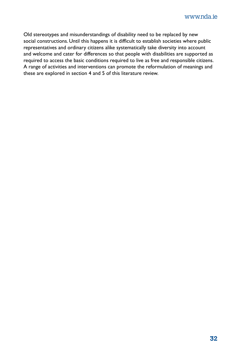Old stereotypes and misunderstandings of disability need to be replaced by new social constructions. Until this happens it is difficult to establish societies where public representatives and ordinary citizens alike systematically take diversity into account and welcome and cater for differences so that people with disabilities are supported as required to access the basic conditions required to live as free and responsible citizens. A range of activities and interventions can promote the reformulation of meanings and these are explored in section 4 and 5 of this literature review.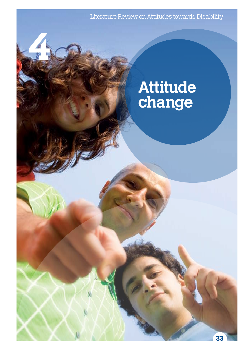Literature Review on Attitudes towards Disability

**4** 

## **Attitude change**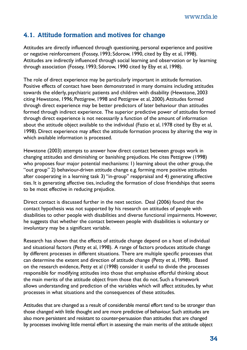#### **4.1. Attitude formation and motives for change**

Attitudes are directly influenced through questioning, personal experience and positive or negative reinforcement (Fossey, 1993; Sdorow, 1990, cited by Eby et al, 1998). Attitudes are indirectly influenced through social learning and observation or by learning through association (Fossey, 1993; Sdorow, 1990 cited by Eby et al, 1998).

The role of direct experience may be particularly important in attitude formation. Positive effects of contact have been demonstrated in many domains including attitudes towards the elderly, psychiatric patients and children with disability (Hewstone, 2003 citing Hewstone, 1996; Pettigrew, 1998 and Pettigrew et al, 2000). Attitudes formed through direct experience may be better predictors of later behaviour than attitudes formed through indirect experience. The superior predictive power of attitudes formed through direct experience is not necessarily a function of the amount of information about the attitude object available to the individual (Fazio et al, 1978 cited by Eby et al, 1998). Direct experience may affect the attitude formation process by altering the way in which available information is processed.

Hewstone (2003) attempts to answer how direct contact between groups work in changing attitudes and diminishing or banishing prejudices. He cites Pettigrew (1998) who proposes four major potential mechanisms: 1) learning about the other group, the "out group" 2) behaviour-driven attitude change e.g. forming more positive attitudes after cooperating in a learning task 3) "in-group" reappraisal and 4) generating affective ties. It is generating affective ties, including the formation of close friendships that seems to be most effective in reducing prejudice.

Direct contact is discussed further in the next section. Deal (2006) found that the contact hypothesis was not supported by his research on attitudes of people with disabilities to other people with disabilities and diverse functional impairments. However, he suggests that whether the contact between people with disabilities is voluntary or involuntary may be a significant variable.

Research has shown that the effects of attitude change depend on a host of individual and situational factors (Petty et al, 1998). A range of factors produces attitude change by different processes in different situations. There are multiple specific processes that can determine the extent and direction of attitude change (Petty et al, 1998). Based on the research evidence, Petty et al (1998) consider it useful to divide the processes responsible for modifying attitudes into those that emphasise effortful thinking about the main merits of the attitude object from those that do not. Such a framework allows understanding and prediction of the variables which will affect attitudes, by what processes in what situations and the consequences of these attitudes.

Attitudes that are changed as a result of considerable mental effort tend to be stronger than those changed with little thought and are more predictive of behaviour. Such attitudes are also more persistent and resistant to counter-persuasion than attitudes that are changed by processes involving little mental effort in assessing the main merits of the attitude object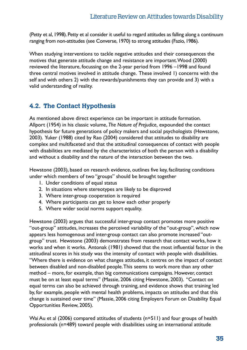(Petty et al, 1998). Petty et al consider it useful to regard attitudes as falling along a continuum ranging from non-attitudes (see Converse, 1970) to strong attitudes (Fazio, 1986).

When studying interventions to tackle negative attitudes and their consequences the motives that generate attitude change and resistance are important. Wood (2000) reviewed the literature, focussing on the 2-year period from 1996 –1998 and found three central motives involved in attitude change. These involved 1) concerns with the self and with others 2) with the rewards/punishments they can provide and 3) with a valid understanding of reality.

#### **4.2. The Contact Hypothesis**

As mentioned above direct experience can be important in attitude formation. Allport (1954) in his classic volume, *The Nature of Prejudice,* expounded the contact hypothesis for future generations of policy makers and social psychologists (Hewstone, 2003). Yuker (1988) cited by Rao (2004) considered that attitudes to disability are complex and multifaceted and that the attitudinal consequences of contact with people with disabilities are mediated by the characteristics of both the person with a disability and without a disability and the nature of the interaction between the two.

Hewstone (2003), based on research evidence, outlines five key, facilitating conditions under which members of two "groups" should be brought together

- 1. Under conditions of equal status
- 2. In situations where stereotypes are likely to be disproved
- 3. Where inter-group cooperation is required
- 4. Where participants can get to know each other properly
- 5. Where wider social norms support equality.

Hewstone (2003) argues that successful inter-group contact promotes more positive "out-group" attitudes, increases the perceived variability of the "out-group", which now appears less homogenous and inter-group contact can also promote increased "outgroup" trust. Hewstone (2003) demonstrates from research that contact works, how it works and when it works. Antonak (1981) showed that the most influential factor in the attitudinal scores in his study was the intensity of contact with people with disabilities. "Where there is evidence on what changes attitudes, it centres on the impact of contact between disabled and non-disabled people. This seems to work more than any other method – more, for example, than big communications campaigns. However, contact must be on at least equal terms" (Massie, 2006 citing Hewstone, 2003). "Contact on equal terms can also be achieved through training, and evidence shows that training led by, for example, people with mental health problems, impacts on attitudes and that this change is sustained over time" (Massie, 2006 citing Employers Forum on Disability Equal Opportunities Review, 2005).

Wai Au et al (2006) compared attitudes of students (n=511) and four groups of health professionals (n=489) toward people with disabilities using an international attitude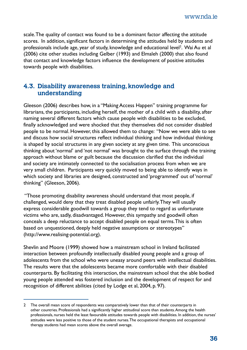www.nda.ie

scale. The quality of contact was found to be a dominant factor affecting the attitude scores. In addition, significant factors in determining the attitudes held by students and professionals include age, year of study, knowledge and educational level<sup>2</sup>. Wai Au et al (2006) cite other studies including Gelber (1993) and Elmaleh (2000) that also found that contact and knowledge factors influence the development of positive attitudes towards people with disabilities.

#### **4.3. Disability awareness training, knowledge and understanding**

Gleeson (2006) describes how, in a "Making Access Happen" training programme for librarians, the participants, including herself, the mother of a child with a disability, after naming several different factors which cause people with disabilities to be excluded, finally acknowledged and were shocked that they themselves did not consider disabled people to be normal. However, this allowed them to change: "Now we were able to see and discuss how social structures reflect individual thinking and how individual thinking is shaped by social structures in any given society at any given time. This unconscious thinking about 'normal' and 'not normal' was brought to the surface through the training approach without blame or guilt because the discussion clarified that the individual and society are intimately connected to the socialisation process from when we are very small children. Participants very quickly moved to being able to identify ways in which society and libraries are designed, constructed and 'programmed' out of 'normal' thinking" (Gleeson, 2006).

 "Those promoting disability awareness should understand that most people, if challenged, would deny that they treat disabled people unfairly. They will usually express considerable goodwill towards a group they tend to regard as unfortunate victims who are, sadly, disadvantaged. However, this sympathy and goodwill often conceals a deep reluctance to accept disabled people on equal terms. This is often based on unquestioned, deeply held negative assumptions or stereotypes" (http://www.realising-potential.org).

Shevlin and Moore (1999) showed how a mainstream school in Ireland facilitated interaction between profoundly intellectually disabled young people and a group of adolescents from the school who were uneasy around peers with intellectual disabilities. The results were that the adolescents became more comfortable with their disabled counterparts. By facilitating this interaction, the mainstream school that the able bodied young people attended was fostered inclusion and the development of respect for and recognition of different abilities (cited by Lodge et al, 2004, p. 97).

<sup>2</sup> The overall mean score of respondents was comparatively lower than that of their counterparts in other countries. Professionals had a significantly higher attitudinal score than students. Among the health professionals, nurses held the least favourable attitudes towards people with disabilities. In addition, the nurses' attitudes were less positive to those of the student nurses. The occupational therapists and occupational therapy students had mean scores above the overall average.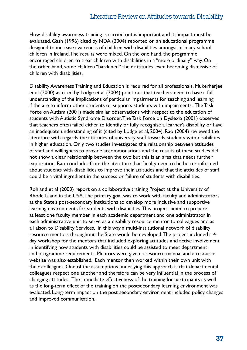How disability awareness training is carried out is important and its impact must be evaluated. Gash (1996) cited by NDA (2004) reported on an educational programme designed to increase awareness of children with disabilities amongst primary school children in Ireland. The results were mixed. On the one hand, the programme encouraged children to treat children with disabilities in a "more ordinary" way. On the other hand, some children "hardened" their attitudes, even becoming dismissive of children with disabilities.

Disability Awareness Training and Education is required for all professionals. Mukerherjee et al (2000) as cited by Lodge et al (2004) point out that teachers need to have a full understanding of the implications of particular impairments for teaching and learning if the are to inform other students or supports students with impairments. The Task Force on Autism (2001) made similar observations with respect to the education of students with Autistic Syndrome Disorder. The Task Force on Dyslexia (2001) observed that teachers often failed either to identify or fully recognise a learner's disability or have an inadequate understanding of it (cited by Lodge et al, 2004). Rao (2004) reviewed the literature with regards the attitudes of university staff towards students with disabilities in higher education. Only two studies investigated the relationship between attitudes of staff and willingness to provide accommodations and the results of these studies did not show a clear relationship between the two but this is an area that needs further exploration. Rao concludes from the literature that faculty need to be better informed about students with disabilities to improve their attitudes and that the attitudes of staff could be a vital ingredient in the success or failure of students with disabilities.

Rohland et al (2003) report on a collaborative training Project at the University of Rhode Island in the USA. The primary goal was to work with faculty and administrators at the State's post-secondary institutions to develop more inclusive and supportive learning environments for students with disabilities. This project aimed to prepare at least one faculty member in each academic department and one administrator in each administrative unit to serve as a disability resource mentor to colleagues and as a liaison to Disability Services. In this way a multi-institutional network of disability resource mentors throughout the State would be developed. The project included a 4 day workshop for the mentors that included exploring attitudes and active involvement in identifying how students with disabilities could be assisted to meet department and programme requirements. Mentors were given a resource manual and a resource website was also established. Each mentor then worked within their own unit with their colleagues. One of the assumptions underlying this approach is that departmental colleagues respect one another and therefore can be very influential in the process of changing attitudes. The immediate effectiveness of the training for participants as well as the long-term effect of the training on the postsecondary learning environment was evaluated. Long-term impact on the post secondary environment included policy changes and improved communication.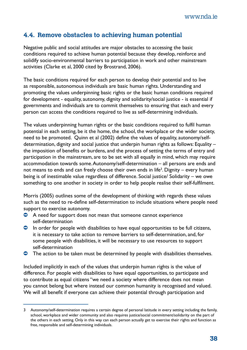#### **4.4. Remove obstacles to achieving human potential**

Negative public and social attitudes are major obstacles to accessing the basic conditions required to achieve human potential because they develop, reinforce and solidify socio-environmental barriers to participation in work and other mainstream activities (Clarke et al, 2000 cited by Brostrand, 2006).

The basic conditions required for each person to develop their potential and to live as responsible, autonomous individuals are basic human rights. Understanding and promoting the values underpinning basic rights or the basic human conditions required for development - equality, autonomy, dignity and solidarity/social justice - is essential if governments and individuals are to commit themselves to ensuring that each and every person can access the conditions required to live as self-determining individuals.

The values underpinning human rights or the basic conditions required to fulfil human potential in each setting, be it the home, the school, the workplace or the wider society, need to be promoted. Quinn et al (2002) define the values of equality, autonomy/selfdetermination, dignity and social justice that underpin human rights as follows: Equality – the imposition of benefits or burdens, and the process of setting the terms of entry and participation in the mainstream, are to be set with all equally in mind, which may require accommodation towards some. Autonomy/self-determination – all persons are ends and not means to ends and can freely choose their own ends in life<sup>3</sup>. Dignity – every human being is of inestimable value regardless of difference. Social justice/ Solidarity – we owe something to one another in society in order to help people realise their self-fulfilment.

Morris (2005) outlines some of the development of thinking with regards these values such as the need to re-define self-determination to include situations where people need support to exercise autonomy.

- <sup>O</sup> A need for support does not mean that someone cannot experience self-determination
- $\bullet$  In order for people with disabilities to have equal opportunities to be full citizens, it is necessary to take action to remove barriers to self-determination, and, for some people with disabilities, it will be necessary to use resources to support self-determination
- $\bullet$  The action to be taken must be determined by people with disabilities themselves.

Included implicitly in each of the values that underpin human rights is the value of difference. For people with disabilities to have equal opportunities, to participate and to contribute as equal citizens "we need a society where difference does not mean you cannot belong but where instead our common humanity is recognised and valued. We will all benefit if everyone can achieve their potential through participation and

<sup>3</sup> Autonomy/self-determination requires a certain degree of personal latitude in every setting including the family, school, workplace and wider community and also requires justice/social commitment/solidarity on the part of the others in each setting. Only in this way can each person actually get to exercise their rights and function as free, responsible and self-determining individuals.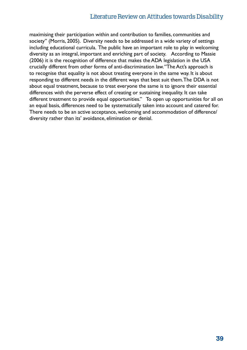#### Literature Review on Attitudes towards Disability

maximising their participation within and contribution to families, communities and society" (Morris, 2005). Diversity needs to be addressed in a wide variety of settings including educational curricula. The public have an important role to play in welcoming diversity as an integral, important and enriching part of society. According to Massie (2006) it is the recognition of difference that makes the ADA legislation in the USA crucially different from other forms of anti-discrimination law. "The Act's approach is to recognise that equality is not about treating everyone in the same way. It is about responding to different needs in the different ways that best suit them. The DDA is not about equal treatment, because to treat everyone the same is to ignore their essential differences with the perverse effect of creating or sustaining inequality. It can take different treatment to provide equal opportunities." To open up opportunities for all on an equal basis, differences need to be systematically taken into account and catered for. There needs to be an active acceptance, welcoming and accommodation of difference/ diversity rather than its' avoidance, elimination or denial.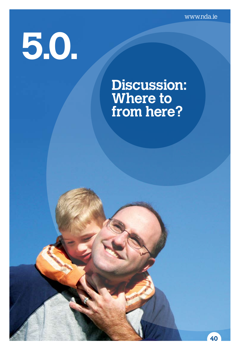www.nda.ie

**40**

# **5.0.**

### **Discussion: Where to from here?**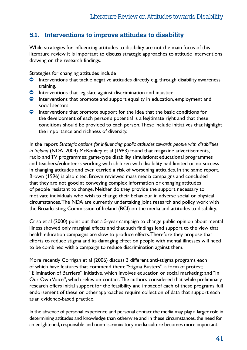#### **5.1. Interventions to improve attitudes to disability**

While strategies for influencing attitudes to disability are not the main focus of this literature review it is important to discuss strategic approaches to attitude interventions drawing on the research findings.

Strategies for changing attitudes include

- $\bullet$  Interventions that tackle negative attitudes directly e.g. through disability awareness training.
- $\bullet$  Interventions that legislate against discrimination and injustice.
- $\bullet$  Interventions that promote and support equality in education, employment and social sectors.
- $\bullet$  Interventions that promote support for the idea that the basic conditions for the development of each person's potential is a legitimate right and that these conditions should be provided to each person. These include initiatives that highlight the importance and richness of diversity.

In the report *Strategic options for influencing public attitudes towards people with disabilities in Ireland* (NDA, 2004) McKonkey et al (1983) found that magazine advertisements, radio and TV programmes; game-type disability simulations; educational programmes and teachers/volunteers working with children with disability had limited or no success in changing attitudes and even carried a risk of worsening attitudes. In the same report, Brown (1996) is also cited. Brown reviewed mass media campaigns and concluded that they are not good at conveying complex information or changing attitudes of people resistant to change. Neither do they provide the support necessary to motivate individuals who wish to change their behaviour in adverse social or physical circumstances. The NDA are currently undertaking joint research and policy work with the Broadcasting Commission of Ireland (BCI) on the media and attitudes to disability.

Crisp et al (2000) point out that a 5-year campaign to change public opinion about mental illness showed only marginal effects and that such findings lend support to the view that health education campaigns are slow to produce effects. Therefore they propose that efforts to reduce stigma and its damaging effect on people with mental illnesses will need to be combined with a campaign to reduce discrimination against them.

More recently Corrigan et al (2006) discuss 3 different anti-stigma programs each of which have features that commend them: "Stigma Busters", a form of protest; "Elimination of Barriers" Initiative, which involves education or social marketing; and "In Our Own Voice", which relies on contact. The authors considered that while preliminary research offers initial support for the feasibility and impact of each of these programs, full endorsement of these or other approaches require collection of data that support each as an evidence-based practice.

In the absence of personal experience and personal contact the media may play a larger role in determining attitudes and knowledge than otherwise and, in these circumstances, the need for an enlightened, responsible and non-discriminatory media culture becomes more important.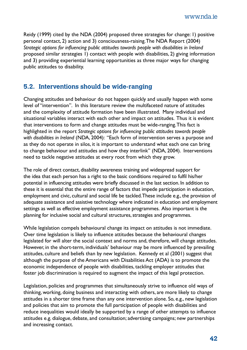Reidy (1999) cited by the NDA (2004) proposed three strategies for change: 1) positive personal contact, 2) action and 3) consciousness-raising. The NDA Report (2004) *Strategic options for influencing public attitudes towards people with disabilities in Ireland* proposed similar strategies 1) contact with people with disabilities, 2) giving information and 3) providing experiential learning opportunities as three major ways for changing public attitudes to disability.

#### **5.2. Interventions should be wide-ranging**

Changing attitudes and behaviour do not happen quickly and usually happen with some level of "intervention". In this literature review the multifaceted nature of attitudes and the complexity of attitude formation have been illustrated. Many individual and situational variables interact with each other and impact on attitudes. Thus it is evident that interventions to form and change attitudes must be wide-ranging. This fact is highlighted in the report *Strategic options for influencing public attitudes towards people with disabilities in Ireland* (NDA, 2004): "Each form of intervention serves a purpose and as they do not operate in silos, it is important to understand what each one can bring to change behaviour and attitudes and how they interlink" (NDA, 2004). Interventions need to tackle negative attitudes at every root from which they grow.

The role of direct contact, disability awareness training and widespread support for the idea that each person has a right to the basic conditions required to fulfil his/her potential in influencing attitudes were briefly discussed in the last section. In addition to these it is essential that the entire range of factors that impede participation in education, employment and civic, cultural and social life be tackled. These include e.g., the provision of adequate assistance and assistive technology where indicated in education and employment settings as well as effective employment assistance programmes. Also important is the planning for inclusive social and cultural structures, strategies and programmes.

While legislation compels behavioural change its impact on attitudes is not immediate. Over time legislation is likely to influence attitudes because the behavioural changes legislated for will alter the social context and norms and, therefore, will change attitudes. However, in the short-term, individuals' behaviour may be more influenced by prevailing attitudes, culture and beliefs than by new legislation. Kennedy et al (2001) suggest that although the purpose of the Americans with Disabilities Act (ADA) is to promote the economic independence of people with disabilities, tackling employer attitudes that foster job discrimination is required to augment the impact of this legal protection.

Legislation, policies and programmes that simultaneously strive to influence old ways of thinking, working, doing business and interacting with others, are more likely to change attitudes in a shorter time frame than any one intervention alone. So, e.g., new legislation and policies that aim to promote the full participation of people with disabilities and reduce inequalities would ideally be supported by a range of other attempts to influence attitudes e.g. dialogue, debate, and consultation; advertising campaigns; new partnerships and increasing contact.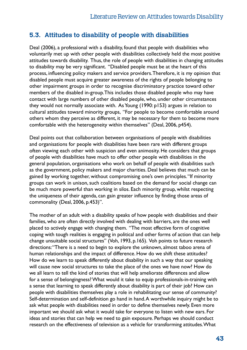#### **5.3. Attitudes to disability of people with disabilities**

Deal (2006), a professional with a disability, found that people with disabilities who voluntarily met up with other people with disabilities collectively held the most positive attitudes towards disability. Thus, the role of people with disabilities in changing attitudes to disability may be very significant. "Disabled people must be at the heart of this process, influencing policy makers and service providers. Therefore, it is my opinion that disabled people must acquire greater awareness of the rights of people belonging to other impairment groups in order to recognise discriminatory practice toward other members of the disabled in-group. This includes those disabled people who may have contact with large numbers of other disabled people, who, under other circumstances they would not normally associate with. As Young (1990: p153) argues in relation to cultural attitudes toward minority groups, "For people to become comfortable around others whom they perceive as different, it may be necessary for them to become more comfortable with the heterogeneity within themselves" (Deal, 2006, p454).

Deal points out that collaboration between organisations of people with disabilities and organisations for people with disabilities have been rare with different groups often viewing each other with suspicion and even animosity. He considers that groups of people with disabilities have much to offer other people with disabilities in the general population, organisations who work on behalf of people with disabilities such as the government, policy makers and major charities. Deal believes that much can be gained by working together, without compromising one's own principles. "If minority groups can work in unison, such coalitions based on the demand for social change can be much more powerful than working in silos. Each minority group, whilst respecting the uniqueness of their agenda, can gain greater influence by finding those areas of commonality (Deal, 2006, p.453)".

The mother of an adult with a disability speaks of how people with disabilities and their families, who are often directly involved with dealing with barriers, are the ones well placed to actively engage with changing them. "The most effective form of cognitive coping with tough realities is engaging in political and other forms of action that can help change unsuitable social structures" (Voh, 1993, p.165). Voh points to future research directions: "There is a need to begin to explore the unknown, almost taboo arena of human relationships and the impact of difference. How do we shift these attitudes? How do we learn to speak differently about disability in such a way that our speaking will cause new social structures to take the place of the ones we have now? How do we all learn to tell the kind of stories that will help ameliorate differences and allow for a sense of belongingness? What would it take to equip professionals-in-training with a sense that learning to speak differently about disability is part of their job? How can people with disabilities themselves play a role in rehabilitating our sense of community? Self-determination and self-definition go hand in hand. A worthwhile inquiry might be to ask what people with disabilities need in order to define themselves newly. Even more important we should ask what it would take for everyone to listen with new ears. For ideas and stories that can help we need to gain exposure. Perhaps we should conduct research on the effectiveness of television as a vehicle for transforming attitudes. What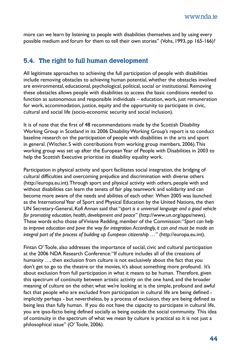more can we learn by listening to people with disabilities themselves and by using every possible medium and forum for them to tell their own stories" (Vohs, 1993, pp 165-166)?

#### **5.4. The right to full human development**

All legitimate approaches to achieving the full participation of people with disabilities include removing obstacles to achieving human potential, whether the obstacles involved are environmental, educational, psychological, political, social or institutional. Removing these obstacles allows people with disabilities to access the basic conditions needed to function as autonomous and responsible individuals – education, work, just remuneration for work, accommodation, justice, equity and the opportunity to participate in civic, cultural and social life (socio-economic security and social inclusion).

It is of note that the first of 48 recommendations made by the Scottish Disability Working Group in Scotland in its 2006 Disability Working Group's report is to conduct baseline research on the participation of people with disabilities in the arts and sport in general. (Witcher, S with contributions from working group members, 2006). This working group was set up after the European Year of People with Disabilities in 2003 to help the Scottish Executive prioritise its disability equality work.

Participation in physical activity and sport facilitates social integration, the bridging of cultural difficulties and overcoming prejudice and discrimination with diverse others (http://europa.eu.int). Through sport and physical activity with others, people with and without disabilities can learn the tenets of fair play, teamwork and solidarity and can become more aware of the needs and abilities of each other. When 2005 was launched as the International Year of Sport and Physical Education by the United Nations, the then UN Secretary-General, Kofi Annan said that "*sport is a universal language and a good vehicle for promoting education, health, development and peace"* (http://www.un.org/apps/news). These words echo those of Viviane Redding, member of the Commission: "*Sport can help to improve education and pave the way for integration. Accordingly, it can and must be made an integral part of the process of building up European citizenship …*" (http://europa.eu.int).

Fintan O' Toole, also addresses the importance of social, civic and cultural participation at the 2006 NDA Research Conference: "If culture includes all of the creations of humanity …, then exclusion from culture is not exclusively about the fact that you don't get to go to the theatre or the movies, it's about something more profound. It's about exclusion from full participation in what it means to be human. Therefore, given this spectrum of continuity between artistic activity on the one hand, and the broader meaning of culture on the other, what we're looking at is the simple, profound and awful fact that people who are excluded from participation in cultural life are being defined implicitly perhaps - but nevertheless, by a process of exclusion, they are being defined as being less than fully human. If you do not have the capacity to participate in cultural life, you are ipso-facto being defined socially as being outside the social community. This idea of continuity in the spectrum of what we mean by culture is practical so it is not just a philosophical issue" (O' Toole, 2006).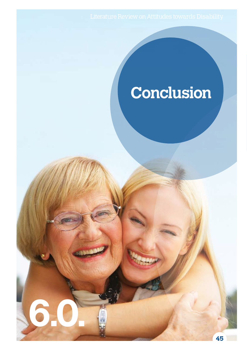**6.0.** 

# **Conclusion**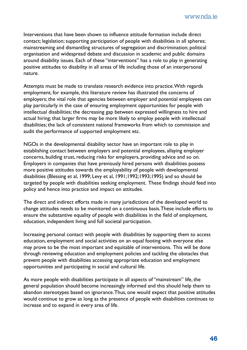Interventions that have been shown to influence attitude formation include direct contact; legislation; supporting participation of people with disabilities in all spheres; mainstreaming and dismantling structures of segregation and discrimination; political organisation and widespread debate and discussion in academic and public domains around disability issues. Each of these "interventions" has a role to play in generating positive attitudes to disability in all areas of life including those of an interpersonal nature.

Attempts must be made to translate research evidence into practice. With regards employment, for example, this literature review has illustrated the concerns of employers; the vital role that agencies between employer and potential employees can play particularly in the case of ensuring employment opportunities for people with intellectual disabilities; the decreasing gap between expressed willingness to hire and actual hiring; that larger firms may be more likely to employ people with intellectual disabilities; the lack of consistent national frameworks from which to commission and audit the performance of supported employment etc.

NGOs in the developmental disability sector have an important role to play in establishing contact between employers and potential employees, allaying employer concerns, building trust, reducing risks for employers, providing advice and so on. Employers in companies that have previously hired persons with disabilities possess more positive attitudes towards the employability of people with developmental disabilities (Blessing et al, 1999; Levy et al, 1991;1992;1993;1995) and so should be targeted by people with disabilities seeking employment. These findings should feed into policy and hence into practice and impact on attitudes.

The direct and indirect efforts made in many jurisdictions of the developed world to change attitudes needs to be monitored on a continuous basis. These include efforts to ensure the substantive equality of people with disabilities in the field of employment, education, independent living and full societal participation.

Increasing personal contact with people with disabilities by supporting them to access education, employment and social activities on an equal footing with everyone else may prove to be the most important and equitable of interventions. This will be done through reviewing education and employment policies and tackling the obstacles that prevent people with disabilities accessing appropriate education and employment opportunities and participating in social and cultural life.

As more people with disabilities participate in all aspects of "mainstream" life, the general population should become increasingly informed and this should help them to abandon stereotypes based on ignorance. Thus, one would expect that positive attitudes would continue to grow as long as the presence of people with disabilities continues to increase and to expand in every area of life.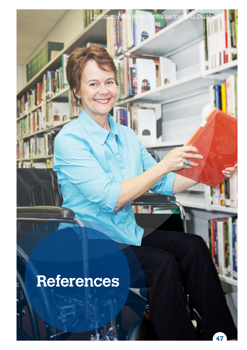

terature Review on Attitudes towards Disabi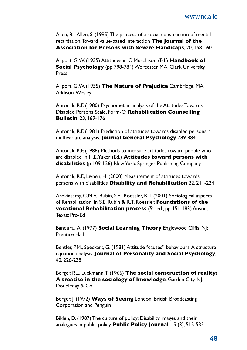Allen, B., Allen, S. (1995) The process of a social construction of mental retardation: Toward value-based interaction **The Journal of the Association for Persons with Severe Handicaps**, 20, 158-160

Allport, G.W. (1935) Attitudes in C Murchison (Ed.) **Handbook of Social Psychology** (pp 798-784) Worcester MA: Clark University Press

Allport, G.W. (1955) **The Nature of Prejudice** Cambridge, MA: Addison-Wesley

Antonak, R.F. (1980) Psychometric analysis of the Attitudes Towards Disabled Persons Scale, Form-O. **Rehabilitation Counselling Bulletin**, 23, 169-176

Antonak, R.F. (1981) Prediction of attitudes towards disabled persons: a multivariate analysis. **Journal General Psychology** 789-884

Antonak, R.F. (1988) Methods to measure attitudes toward people who are disabled In H.E. Yuker (Ed.) **Attitudes toward persons with disabilities** (p 109-126) New York: Springer Publishing Company

Antonak, R.F., Livneh, H. (2000) Measurement of attitudes towards persons with disabilities **Disability and Rehabilitation** 22, 211-224

Arokiasamy, C.M.V., Rubin, S.E., Roessler, R.T. (2001) Sociological aspects of Rehabilitation. In S.E. Rubin & R.T. Roessler, **Foundations of the vocational Rehabilitation process** (5<sup>th</sup> ed., pp 151-183) Austin, Texas: Pro-Ed

Bandura, A. (1977) **Social Learning Theory** Englewood Cliffs, NJ: Prentice Hall

Bentler, P.M., Speckart, G. (1981) Attitude "causes" behaviours: A structural equation analysis. **Journal of Personality and Social Psychology**, 40, 226-238

Berger, P.L., Luckmann, T. (1966) **The social construction of reality: A treatise in the sociology of knowledge**, Garden City, NJ: Doubleday & Co

Berger, J. (1972) **Ways of Seeing** London: British Broadcasting Corporation and Penguin

Biklen, D. (1987) The culture of policy: Disability images and their analogues in public policy. **Public Policy Journal**, 15 (3), 515-535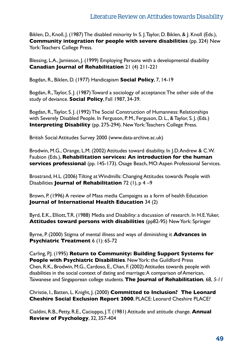Biklen, D., Knoll, J. (1987) The disabled minority In S. J. Taylor, D. Biklen, & J. Knoll (Eds.), **Community integration for people with severe disabilities** (pp. 324) New York: Teachers College Press.

Blessing, L.A., Jamieson, J. (1999) Employing Persons with a developmental disability **Canadian Journal of Rehabilitation** 21 (4) 211-221

Bogdan, R., Biklen, D. (1977) Handicapism **Social Policy**, 7, 14-19

Bogdan, R., Taylor, S. J. (1987) Toward a sociology of acceptance: The other side of the study of deviance. **Social Policy**, Fall 1987, 34-39.

Bogdan, R., Taylor, S. J. (1992) The Social Construction of Humanness: Relationships with Severely Disabled People. In Ferguson, P. M., Ferguson, D. L., & Taylor, S. J. (Eds.) **Interpreting Disability** (pp. 275-294). New York: Teachers College Press.

British Social Attitudes Survey 2000 (www.data-archive.ac.uk)

Brodwin, M.G., Orange, L.M. (2002) Attitudes toward disability. In J.D. Andrew & C.W. Faubion (Eds.), **Rehabilitation services: An introduction for the human**  services professional (pp. 145-173). Osage Beach, MO: Aspen Professional Services.

Brostrand, H.L. (2006) Tilting at Windmills: Changing Attitudes towards People with Disabilities **Journal of Rehabilitation** 72 (1), p 4 –9

Brown, P. (1996) A review of Mass media Campaigns as a form of health Education **Journal of International Health Education** 34 (2)

Byrd, E.K., Elliott, T.R. (1988) Media and Disability: a discussion of research. In H.E. Yuker, **Attitudes toward persons with disabilities** (pp82-95) New York: Springer

Byrne, P. (2000) Stigma of mental illness and ways of diminishing it **Advances in Psychiatric Treatment** 6 (1): 65-72

Carling, P.J. (1995) **Return to Community: Building Support Systems for People with Psychiatric Disabilities**. New York: the Guildford Press Chen, R.K., Brodwin, M.G., Cardoso, E., Chan, F. (2002) Attitudes towards people with disabilities in the social context of dating and marriage: A comparison of American, Taiwanese and Singaporean college students. **The Journal of Rehabilitation**, 68, *5-11*

Christie, I., Batten, L. Knight, J. (2000) **Committed to Inclusion? The Leonard Cheshire Social Exclusion Report 2000**, PLACE: Leonard Cheshire PLACE?

Cialdini, R.B., Petty, R.E., Cacioppo, J.T. (1981) Attitude and attitude change. **Annual Review of Psychology**, 32, 357-404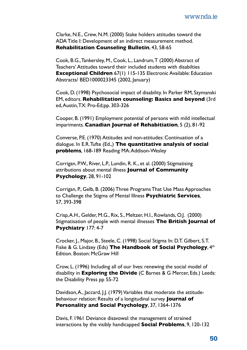Clarke, N.E., Crew, N.M. (2000) Stake holders attitudes toward the ADA Title I: Development of an indirect measurement method. **Rehabilitation Counseling Bulletin**, 43, 58-65

Cook, B.G., Tankersley, M., Cook, L., Landrum, T (2000) Abstract of Teachers' Attitudes toward their included students with disabilties **Exceptional Children** 67(1) 115-135 Electronic Available: Education Abstracts/ BED1000023345 (2002, January)

Cook, D. (1998) Psychosocial impact of disability. In Parker RM, Szymanski EM, editors. **Rehabilitation counseling: Basics and beyond** (3rd ed, Austin, TX: Pro-Ed;pp. 303-326

Cooper, B. (1991) Employment potential of persons with mild intellectual impariments. **Canadian Journal of Rehabitiation**, 5 (2), 81-92

Converse, P.E. (1970) Attitudes and non-attitudes: Continuation of a dialogue. In E.R. Tufte (Ed.,) **The quantitative analysis of social problems***,* 168-189 Reading MA: Addison-Wesley

Corrigan, P.W., River, L.P., Lundin, R. K., et al. (2000) Stigmatising attributions about mental illness **Journal of Community Psychology**, 28, 91-102

Corrigan, P., Gelb, B. (2006) Three Programs That Use Mass Approaches to Challenge the Stigma of Mental Illness **Psychiatric Services***,* 57, 393-398

Crisp, A.H., Gelder, M.G., Rix, S., Meltzer, H.I., Rowlands, O.J. (2000) Stigmatisation of people with mental illnesses **The British Journal of Psychiatry** 177: 4-7

Crocker, J., Major, B., Steele, C. (1998) Social Stigma In: D.T. Gilbert, S.T. Fiske & G. Lindzey (Eds) The Handbook of Social Psychology, 4th Edition. Boston: McGraw Hill

Crow, L. (1996) Including all of our lives: renewing the social model of disability in **Exploring the Divide** (C Barnes & G Mercer, Eds.) Leeds: the Disability Press pp 55-72

Davidson, A., Jaccard, J.J. (1979) Variables that moderate the attitudebehaviour relation: Results of a longitudinal survey **Journal of Personality and Social Psychology**, 37, 1364-1376

Davis, F. 1961 Deviance disavowal: the management of strained interactions by the visibly handicapped **Social Problems**, 9, 120-132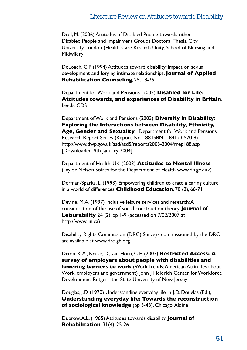Deal, M. (2006) Attitudes of Disabled People towards other Disabled People and Impairment Groups Doctoral Thesis, City University London (Health Care Resarch Unity, School of Nursing and **Midwifery** 

DeLoach, C.P. (1994) Attitudes toward disability: Impact on sexual development and forging intimate relationships. **Journal of Applied Rehabilitation Counseling**, 25, 18-25.

Department for Work and Pensions (2002) **Disabled for Life: Attitudes towards, and experiences of Disability in Britain***,* Leeds: CDS

Department of Work and Pensions (2003) **Diversity in Disability: Exploring the Interactions between Disability, Ethnicity, Age, Gender and Sexuality***.* Department for Work and Pensions Research Report Series (Report No. 188 ISBN 1 84123 570 9) http://www.dwp.gov.uk/asd/asd5/reports2003-2004/rrep188.asp [Downloaded: 9th January 2004]

Department of Health, UK (2003) **Attitudes to Mental Illness**  (Taylor Nelson Sofres for the Department of Health www.dh.gov.uk)

Derman-Sparks, L. (1993) Empowering children to crate a caring culture in a world of differences **Childhood Education**, 70 (2), 66-71

Devine, M.A. (1997) Inclusive leisure services and research: A consideration of the use of social construction theory **Journal of Leisurability** 24 (2), pp 1-9 (accessed on 7/02/2007 at http://www.lin.ca)

Disability Rights Commission (DRC) Surveys commissioned by the DRC are available at www.drc-gb.org

Dixon, K.A., Kruse, D., van Horn, C.E. (2003) **Restricted Access: A survey of employers about people with disabilities and lowering barriers to work** (Work Trends: American Attitudes about Work, employers and government) John J Heldrich Center for Workforce Development Rutgers, the State University of New Jersey

Douglas, J.D. (1970) Understanding everyday life In J.D. Douglas (Ed.), **Understanding everyday life: Towards the reconstruction of sociological knowledge** (pp 3-43), Chicago: Aldine

Dubrow, A.L. (1965) Attitudes towards disability **Journal of Rehabilitation**, 31(4): 25-26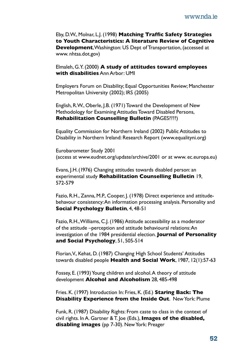Eby, D.W., Molnar, L.J. (1998) **Matching Traffic Safety Strategies to Youth Characteristics: A literature Review of Cognitive Development**, Washington: US Dept of Transportation, (accessed at www. nhtsa.dot.gov)

Elmaleh, G.Y. (2000) **A study of attitudes toward employees with disabilities** Ann Arbor: UMI

Employers Forum on Disability; Equal Opportunities Review; Manchester Metropolitan University (2002); IRS (2005)

English, R.W., Oberle, J.B. (1971) Toward the Development of New Methodology for Examining Attitudes Toward Disabled Persons, **Rehabilitation Counselling Bulletin** (PAGES????)

Equality Commission for Northern Ireland (2002) Public Attitudes to Disability in Northern Ireland: Research Report (www.equalityni.org)

Eurobarometer Study 2001 (access at www.eudnet.org/update/archive/2001 or at www. ec.europa.eu)

Evans, J.H. (1976) Changing attitudes towards disabled person: an experimental study **Rehabilitation Counselling Bulletin** 19, 572-579

Fazio, R.H., Zanna, M.P., Cooper, J. (1978) Direct experience and attitudebehavour consistency: An information processing analysis. Personality and **Social Psychology Bulletin**, 4, 48-51

Fazio, R.H., Williams, C.J. (1986) Attitude accessibility as a moderator of the attitude –perception and attitude behavioural relations: An investigation of the 1984 presidential election. **Journal of Personality and Social Psychology**, 51, 505-514

Florian, V., Kehat, D. (1987) Changing High School Students' Attitudes towards disabled people **Health and Social Work**, 1987, 12(1):57-63

Fossey, E. (1993) Young children and alcohol. A theory of attitude development **Alcohol and Alcoholism** 28, 485-498

Fries. K. (1997) Introduction In: Fries, K. (Ed.) **Staring Back: The Disability Experience from the Inside Out**. New York: Plume

Funk, R. (1987) Disability Rights: From caste to class in the context of civil rights. In A. Gartner & T. Joe (Eds.), **Images of the disabled, disabling images** (pp 7-30). New York: Preager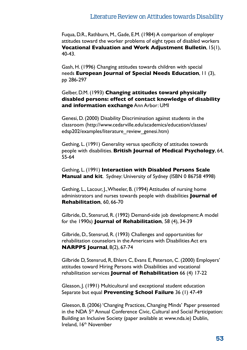Fuqua, D.R., Rathburn, M., Gade, E.M. (1984) A comparison of employer attitudes toward the worker problems of eight types of disabled workers **Vocational Evaluation and Work Adjustment Bulletin**, 15(1), 40-43.

Gash, H. (1996) Changing attitudes towards children with special needs **European Journal of Special Needs Education**, 11 (3), pp 286-297

Gelber, D.M. (1993) **Changing attitudes toward physically disabled persons: effect of contact knowledge of disability and information exchange** Ann Arbor: UMI

Genesi, D. (2000) Disability Discrimination against students in the classroom (http://www.cedarville.edu/academics/education/classes/ edsp202/examples/literature\_review\_genesi.htm)

Gething, L. (1991) Generality versus specificity of attitudes towards people with disabilities. **British Journal of Medical Psychology**, 64, 55-64

Gething, L. (1991) **Interaction with Disabled Persons Scale Manual and kit**. Sydney: University of Sydney (ISBN 0 86758 4998)

Gething, L., Lacour, J., Wheeler, B. (1994) Attitudes of nursing home administrators and nurses towards people with disabilities **Journal of Rehabilitation**, 60, 66-70

Gilbride, D., Stensrud, R. (1992) Demand-side job development: A model for the 1990s) **Journal of Rehabilitation**, 58 (4), 34-39

Gilbride, D., Stensrud, R. (1993) Challenges and opportunities for rehabilitation counselors in the Americans with Disabilities Act era **NARPPS Journal**, 8(2), 67-74

Gilbride D, Stensrud, R, Ehlers C, Evans E, Peterson, C. (2000) Employers' attitudes toward Hiring Persons with Disabilities and vocational rehabilitation services **Journal of Rehabilitation** 66 (4) 17-22

Gleason, J. (1991) Multicultural and exceptional student education Separate but equal **Preventing School Failure** 36 (1) 47-49

Gleeson, B. (2006) 'Changing Practices, Changing Minds' Paper presented in the NDA 5th Annual Conference Civic, Cultural and Social Participation: Building an Inclusive Society (paper available at www.nda.ie) Dublin, Ireland, 16th November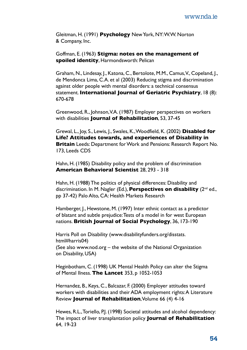Gleitman, H. (1991) **Psychology** New York, NY: W.W. Norton & Company, Inc.

Goffman, E. (1963) **Stigma: notes on the management of spoiled identity**, Harmondsworth: Pelican

Graham, N., Lindesay, J., Katona, C., Bertolote, M.M., Camus, V., Copeland, J., de Mendonca Lima, C.A. et al (2003) Reducing stigma and discrimination against older people with mental disorders: a technical consensus statement. **International Journal of Geriatric Psychiatry**, 18 (8): 670-678

Greenwood, R., Johnson, V.A. (1987) Employer perspectives on workers with disabilities **Journal of Rehabilitation**, 53, 37-45

Grewal, L., Joy, S., Lewis, J., Swales, K., Woodfield, K. (2002) **Disabled for Life? Attitudes towards, and experiences of Disability in Britain** Leeds: Department for Work and Pensions: Research Report No. 173, Leeds CDS

Hahn, H. (1985) Disability policy and the problem of discrimination **American Behavioral Scientist** 28, 293 - 318

Hahn, H. (1988) The politics of physical differences: Disability and discrimination. In M. Nagler (Ed.), **Perspectives on disability** (2nd ed., pp 37-42) Palo Alto, CA: Health Markets Research

Hamberger, J., Hewstone, M. (1997) Inter ethnic contact as a predictor of blatant and subtle prejudice: Tests of a model in for west European nations. **British Journal of Social Psychology**, 36, 173-190

Harris Poll on Disability (www.disabilityfunders.org/disstats. html#harris04) (See also www.nod.org – the website of the National Organization

on Disability, USA)

Heginbotham, C. (1998) UK Mental Health Policy can alter the Stigma of Mental Ilness. **The Lancet** 353, p 1052-1053

Hernandez, B., Keys, C., Balcazar, F. (2000) Employer attitudes toward workers with disabilities and their ADA employment rights: A Literature Review **Journal of Rehabilitation**, Volume 66 (4) 4-16

Hewes, R.L., Toriello, P.J. (1998) Societal attitudes and alcohol dependency: The impact of liver transplantation policy **Journal of Rehabilitation** 64, 19-23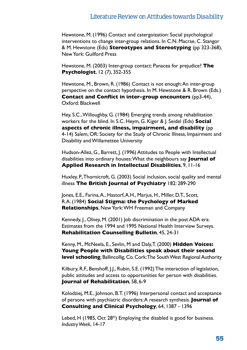Hewstone, M. (1996) Contact and catergoization: Social psychological interventions to change inter-group relations. In C.N. Macrae, C. Stangor & M. Hewstone (Eds) **Stereotypes and Stereotyping** (pp 323-368), New York: Guilford Press

Hewstone, M. (2003) Inter-group contact: Panacea for prejudice? **The Psychologist**, 12 (7), 352-355

Hewstone, M., Brown, R. (1986) Contact is not enough: An inter-group perspective on the contact hypothesis. In M. Hewstone & R. Brown (Eds.) **Contact and Conflict in inter-group encounters** (pp3-44), Oxford: Blackwell

Hey, S.C., Willoughby, G. (1984) Emerging trends among rehabilitation workers for the blind. In S.C. Heym, G. Kiger & J. Seidel (Eds) **Social aspects of chronic illness, impairment, and disability** (pp 4-14) Salem, OR: Society for the Study of Chronic Illness, Impairment and Disability and Willamettee University

Hudson-Allez, G., Barrett, J. (1996) Attitudes to People with Intellectual disabilities into ordinary houses: What the neighbours say **Journal of Applied Research in Intellectual Disabilities**, 9, 11-16

Huxley, P., Thornicroft, G. (2003) Social inclusion, social quality and mental illness **The British Journal of Psychiatry** 182: 289-290

Jones, E.E., Farina, A., Hastorf, A.H., Marjus, H., Miller, D.T., Scott, R.A. (1984) **Social Stigma: the Psychology of Marked Relationships**, New York: WH Freeman and Company

Kennedy, J., Olney, M. (2001) Job discrimination in the post ADA era: Estimates from the 1994 and 1995 National Health Interview Surveys. **Rehabilitation Counselling Bulletin**, 45, 24-31

Kenny, M., McNeela, E., Sevlin, M and Daly, T. (2000) **Hidden Voices: Young People with Disabilities speak about their second level schooling, Ballincollig, Co. Cork: The South West Regional Authority** 

Kilbury, R.F., Benshoff, J.J., Rubin, S.E. (1992) The interaction of legislation, public attitudes and access to opportunities for person with disabilities. **Journal of Rehabilitation**, 58, 6-9

Kolodziej, M.E., Johnson, B.T. (1996) Interpersonal contact and acceptance of persons with psychiatric disorders: A research synthesis. **Journal of Consulting and Clinical Psychology**, 64, 1387 - 1396

Lebed, H (1985, Oct  $28<sup>th</sup>$ ) Employing the disabled is good for business. *Industry Week*, 14-17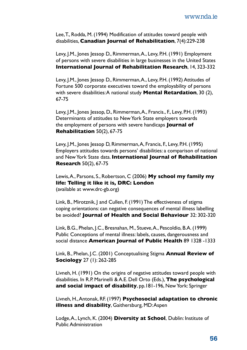Lee, T., Rodda, M. (1994) Modification of attitudes toward people with disabilities, **Canadian Journal of Rehabilitation**, 7(4):229-238

Levy, J.M., Jones Jessop D., Rimmerman, A., Levy, P.H. (1991) Employment of persons with severe disabilities in large businesses in the United States **International Journal of Rehabilitation Research**, 14, 323-332

Levy, J.M., Jones Jessop D., Rimmerman, A., Levy, P.H. (1992) Attitudes of Fortune 500 corporate executives toward the employability of persons with severe disabilities: A national study **Mental Retardation**, 30 (2), 67-75

Levy, J.M., Jones Jessop, D., Rimmerman, A., Francis., F., Levy, P.H. (1993) Determinants of attitudes to New York State employers towards the employment of persons with severe handicaps **Journal of Rehabilitation** 50(2), 67-75

Levy, J.M., Jones Jessop D, Rimmerman, A, Francis, F., Levy, P.H. (1995) Employers attitudes towards persons' disabilities: a comparison of national and New York State data. **International Journal of Rehabilitation Research** 50(2), 67-75

Lewis, A., Parsons, S., Robertson, C (2006) **My school my family my life: Telling it like it is, DRC: London** (available at www.drc-gb.org)

Link, B., Mirotznik, J and Cullen, F. (1991) The effectiveness of stigma coping orientations: can negative consequences of mental illness labelling be avoided? **Journal of Health and Social Behaviour** 32: 302-320

Link, B.G., Phelan, J.C., Bresnahan, M., Stueve, A., Pescoldio, B.A. (1999) Public Conceptions of mental illness: labels, causes, dangerousness and social distance **American Journal of Public Health** 89 1328 -1333

Link, B., Phelan, J.C. (2001) Conceptualising Stigma **Annual Review of Sociology** 27 (1): 262-285

Livneh, H. (1991) On the origins of negative attitudes toward people with disabilities. In R.P. Marinelli & A.E. Dell Orto (Eds.), **The psychological and social impact of disability**, pp.181-196, New York: Springer

Livneh, H., Antonak, RF. (1997) **Psychosocial adaptation to chronic illness and disability**, Gaithersburg, MD: Aspen

Lodge, A., Lynch, K. (2004) **Diversity at School**, Dublin: Institute of Public Administration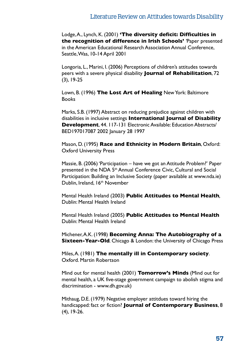Lodge, A., Lynch, K. (2001) **'The diversity deficit: Difficulties in the recognition of difference in Irish Schools'** *'*Paper presented in the American Educational Research Association Annual Conference, Seattle, Was, 10-14 April 2001

Longoria, L., Marini, I. (2006) Perceptions of children's attitudes towards peers with a severe physical disability **Journal of Rehabilitation**, 72 (3), 19-25

Lown, B. (1996) **The Lost Art of Healing** New York: Baltimore **Books** 

Marks, S.B. (1997) Abstract on reducing prejudice against children with disabilities in inclusive settings **International Journal of Disability Development**, 44. 117-131 Electronic Available: Education Abstracts/ BED197017087 2002 January 28 1997

Mason, D. (1995) **Race and Ethnicity in Modern Britain**, Oxford: Oxford University Press

Massie, B. (2006) 'Participation – have we got an Attitude Problem?' Paper presented in the NDA 5<sup>th</sup> Annual Conference Civic, Cultural and Social Participation: Building an Inclusive Society (paper available at www.nda.ie) Dublin, Ireland, 16<sup>th</sup> November

Mental Health Ireland (2003) **Public Attitudes to Mental Health***,*  Dublin: Mental Health Ireland

Mental Health Ireland (2005) **Public Attitudes to Mental Health** Dublin: Mental Health Ireland

Michener, A.K. (1998) **Becoming Anna: The Autobiography of a Sixteen-Year-Old***.* Chicago & London: the University of Chicago Press

Miles, A. (1981) **The mentally ill in Contemporary society**. Oxford. Martin Robertson

Mind out for mental health (2001) **Tomorrow's Minds** (Mind out for mental health, a UK five-stage government campaign to abolish stigma and discrimination - www.dh.gov.uk)

Mithaug, D.E. (1979) Negative employer attitdues toward hiring the handicapped: fact or fiction? **Journal of Contemporary Business**, 8 (4), 19-26.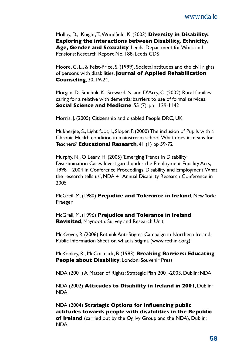Molloy, D., Knight, T., Woodfield, K. (2003) **Diversity in Disability: Exploring the interactions between Disability, Ethnicity, Age, Gender and Sexuality***.* Leeds: Department for Work and Pensions: Research Report No. 188, Leeds CDS

Moore, C. L., & Feist-Price, S. (1999). Societal attitudes and the civil rights of persons with disabilities. **Journal of Applied Rehabilitation Counseling**, 30, 19-24.

Morgan, D., Smchuk, K., Steward, N. and D'Arcy, C. (2002) Rural families caring for a relative with dementia: barriers to use of formal services. **Social Science and Medicine**. 55 (7): pp 1129-1142

Morris, J. (2005) Citizenship and disabled People DRC, UK

Mukherjee, S., Light foot, J., Sloper, P. (2000) The inclusion of Pupils with a Chronic Health condition in mainstream school. What does it means for Teachers? **Educational Research**, 41 (1) pp 59-72

Murphy, N., O Leary, H. (2005) 'Emerging Trends in Disability Discrimination Cases Investigated under the Employment Equality Acts, 1998 – 2004 in Conference Proceedings: Disability and Employment: What the research tells us', NDA 4<sup>th</sup> Annual Disability Research Conference in 2005

McGreil, M. (1980) **Prejudice and Tolerance in Ireland**, New York: Praeger

McGreil, M. (1996) **Prejudice and Tolerance in Ireland Revisited**, Maynooth: Survey and Research Unit

McKeever, R (2006) Rethink Anti-Stigma Campaign in Northern Ireland: Public Information Sheet on what is stigma (www.rethink.org)

McKonkey, R., McCormack, B (1983) **Breaking Barriers: Educating People about Disability**, London: Souvenir Press

NDA (2001) A Matter of Rights: Strategic Plan 2001-2003, Dublin: NDA

NDA (2002) **Attitudes to Disability in Ireland in 2001**, Dublin: NDA

NDA (2004) **Strategic Options for influencing public attitudes towards people with disabilities in the Republic of Ireland** (carried out by the Ogilvy Group and the NDA), Dublin: NDA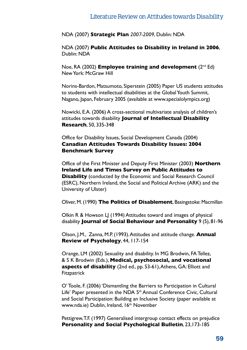NDA (2007) **Strategic Plan** *2007-2009*, Dublin: NDA

NDA (2007) **Public Attitudes to Disability in Ireland in 2006**, Dublin: NDA

Noe, RA (2002) **Employee training and development** (2nd Ed) New York: McGraw Hill

Norins-Bardon, Matsumoto, Siperstein (2005) Paper US students attitudes to students with intellectual disabilities at the Global Youth Summit, Nagano, Japan, February 2005 (available at www.specialolympics.org)

Nowicki, E.A. (2006) A cross-sectional multivariate analysis of children's attitudes towards disability **Journal of Intellectual Disability Research**, 50, 335-348

Office for Disability Issues, Social Development Canada (2004) **Canadian Attitudes Towards Disability Issues: 2004 Benchmark Survey**

Office of the First Minister and Deputy First Minister (2003) **Northern Ireland Life and Times Survey on Public Attitudes to Disability** (conducted by the Economic and Social Research Council (ESRC), Northern Ireland, the Social and Political Archive (ARK) and the University of Ulster)

Oliver, M. (1990) **The Politics of Disablement**, Basingstoke: Macmillan

Olkin R & Howson LJ (1994) Attitudes toward and images of physical disability **Journal of Social Behaviour and Personality** 9 (5), 81-96

Olson, J.M., Zanna, M.P. (1993). Attitudes and attitude change. **Annual Review of Psychology**, 44, 117-154

Orange, LM (2002) Sexuality and disability. In MG Brodwin, FA Tellez, & S K Brodwin (Eds.), **Medical, psychosocial, and vocational aspects of disability** (2nd ed., pp. 53-61), Athens, GA: Elliott and **Fitzpatrick** 

O' Toole, F. (2006) 'Dismantling the Barriers to Participation in Cultural Life' Paper presented in the NDA 5<sup>th</sup> Annual Conference Civic. Cultural and Social Participation: Building an Inclusive Society (paper available at www.nda.ie) Dublin, Ireland, 16<sup>th</sup> November

Pettigrew, T.F. (1997) Generalised intergroup contact effects on prejudice **Personality and Social Psychological Bulletin**, 23,173-185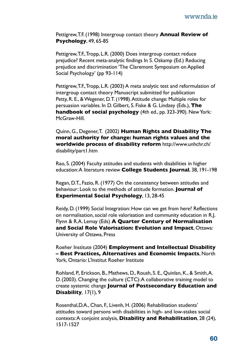Pettigrew, T.F. (1998) Intergroup contact theory **Annual Review of Psychology**, 49, 65-85

Pettigrew, T.F., Tropp, L.R. (2000) Does intergroup contact reduce prejudice? Recent meta-analytic findings In S. Oskamp (Ed.) Reducing prejudice and discrimination 'The Claremont Symposium on Applied Social Psychology' (pp 93-114)

Pettigrew, T.F., Tropp, L.R. (2003) A meta analytic test and reformulation of intergroup contact theory Manuscript submitted for publication Petty, R. E., & Wegener, D.T. (1998). Attitude change: Multiple roles for persuasion variables. In D. Gilbert, S. Fiske & G. Lindzey (Eds.), **The handbook of social psychology** (4th ed., pp. 323-390). New York: McGraw-Hill.

Quinn, G., Degener, T. (2002) **Human Rights and Disability The moral authority for change: human rights values and the worldwide process of disability reform** http://www.unhchr.ch/ disability/part1.htm

Rao, S. (2004) Faculty attitudes and students with disabilities in higher education: A literature review **College Students Journal**, 38, 191-198

Regan, D.T., Fazio, R. (1977) On the consistency between attitudes and behaviour: Look to the methods of attitude formation. **Journal of Experimental Social Psychology**, 13, 28-45

Reidy, D. (1999) Social Integration: How can we get from here? Reflections on normalisation, social role valorisation and community education in R.J. Flynn & R.A. Lemay (Eds) **A Quarter Century of Normalisation and Social Role Valorisation: Evolution and Impact**, Ottawa: University of Ottawa, Press

Roeher Institute (2004) **Employment and Intellectual Disability – Best Practices, Alternatives and Economic Impacts**, North York, Ontario: L'Institut Roeher Institute

Rohland, P., Erickson, B., Mathews, D., Roush, S. E., Quinlan, K., & Smith, A. D. (2003). Changing the culture (CTC): A collaborative training model to create systemic change **Journal of Postsecondary Education and Disability***,* 17(1), 9

Rosenthal,D.A., Chan, F., Livenh, H. (2006) Rehabilitation students' attitudes toward persons with disabilities in high- and low-stakes social contexts: A conjoint analysis, **Disability and Rehabilitation**, 28 (24), 1517-1527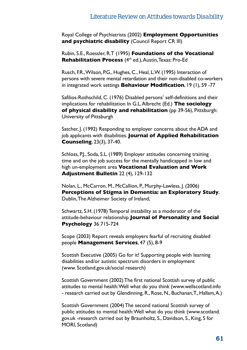Royal College of Psychiatrists (2002) **Employment Opportunities and psychiatric disability** (Council Report CR III)

Rubin, S.E., Roessler, R.T (1995) **Foundations of the Vocational Rehabilitation Process** (4th ed.), Austin, Texas: Pro-Ed

Rusch, F.R., Wilson, P.G., Hughes, C., Heal, L.W. (1995) Interaction of persons with severe mental retardation and their non-disabled co-workers in integrated work settings **Behaviour Modification**, 19 (1), 59 -77

Safilios-Rothschild, C. (1976) Disabled persons' self-definitions and their implications for rehabilitation In G.L. Albrecht (Ed.) **The sociology of physical disability and rehabilitation** (pp 39-56), Pittsburgh: University of Pittsburgh

Satcher, J. (1992) Responding to employer concerns about the ADA and job applicants with disabilities. **Journal of Applied Rehabilitation Counseling**, 23(3), 37-40.

Schloss, P.J., Soda, S.L. (1989) Employer attitudes concerning training time and on the job success for the mentally handicapped in low and high un-employment area **Vocational Evaluation and Work Adjustment Bulletin** 22 (4), 129-132

Nolan, L., McCarron, M., McCallion, P., Murphy-Lawless, J. (2006) **Perceptions of Stigma in Dementia: an Exploratory Study**, Dublin, The Alzheimer Society of Ireland,

Schwartz, S.H. (1978) Temporal instability as a moderator of the attitude-behaviour relationship **Journal of Personality and Social Psychology** 36 715-724

Scope (2003) Report reveals employers fearful of recruiting disabled people **Management Services**, 47 (5), 8-9

Scottish Executive (2005) Go for it! Supporting people with learning disabilities and/or autistic spectrum disorders in employment (www. Scotland.gov.uk/social research)

Scottish Government (2002) The first national Scottish survey of public attitudes to mental health: Well what do you think (www.wellscotland.info - research carried out by Glendinning, R., Rose, N., Buchanan, T., Hallam, A.)

Scottish Government (2004) The second national Scottish survey of public attitudes to mental health: Well what do you think (www.scotland. gov.uk -research carried out by Braunholtz, S., Davidson, S., King, S for MORI, Scotland)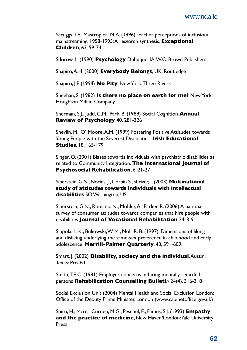Scruggs, T.E., Mastropieri M.A. (1996) Teacher perceptions of inclusion/ mainstreaming, 1958-1995: A research synthesis. **Exceptional Children**, 63, 59-74

Sdorow, L. (1990) **Psychology** Dubuque, IA: W.C. Brown Publishers

Shapiro, A.H. (2000) **Everybody Belongs**, UK: Routledge

Shapiro, J.P. (1994) **No Pity**, New York: Three Rivers

Sheehan, S. (1982) **Is there no place on earth for me?** New York: Houghton Mifflin Company

Sherman, S.J., Judd, C.M., Park, B. (1989) Social Cognition **Annual Review of Psychology** 40, 281-326

Shevlin, M., O' Moore, A.M. (1999) Fostering Positive Attitudes towards Young People with the Severest Disabilities, **Irish Educational Studies**, 18, 165-179

Singer, O. (2001) Biases towards individuals with psychiatric disabilities as related to Community Integration. **The International Journal of Psychosocial Rehabilitation**, 6, 21-27

Siperstein, G.N., Norins, J., Corbin S., Shriver, T. (2003) **Multinational study of attitudes towards individuals with intellectual disabilities** SO Washington, US

Siperstein, G.N., Romano, N., Mohler, A., Parker, R. (2006) A national survey of consumer attitudes towards companies that hire people with disabilities **Journal of Vocational Rehabilitation** 24, 3-9

Sippola, L. K., Bukowski, W. M., Noll, R. B. (1997). Dimensions of liking and disliking underlying the same-sex preference in childhood and early adolescence. **Merrill-Palmer Quarterly**, 43, 591-609.

Smart, J. (2002) **Disability, society and the individual**. Austin, Texas: Pro-Ed

Smith, T.E.C. (1981) Employer concerns in hiring mentally retarded persons **Rehabilitation Counselling Bulleti***n* 24(4), 316-318

Social Exclusion Unit (2004) Mental Health and Social Exclusion London: Office of the Deputy Prime Minister, London (www.cabinetoffice.gov.uk)

Spiro, H., Mcrea Curnen, M.G., Peschel, E., Fames, S.J. (1993) **Empathy and the practice of medicine**, New Haven/London: Yale University Press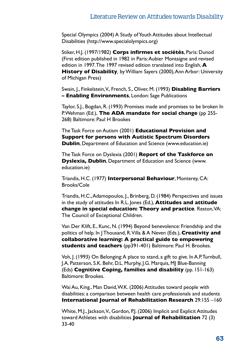Special Olympics (2004) A Study of Youth Attitudes about Intellectual Disabilities (http://www.specialolympics.org)

Stiker, H.J. (1997/1982) **Corps infirmes et sociétés**, Paris: Dunod (First edition published in 1982 in Paris: Aubier Montaigne and revised edition in 1997. The 1997 revised edition translated into English, **A History of Disability***,* by William Sayers (2000), Ann Arbor: University of Michigan Press)

Swain, J., Finkelstein, V., French, S., Oliver, M. (1993) **Disabling Barriers – Enabling Environments**, London: Sage Publications

Taylor, S.J., Bogdan, R. (1993) Promises made and promises to be broken In P. Wehman (Ed.), **The ADA mandate for social change** (pp 255- 268) Baltimore: Paul H Brookes

The Task Force on Autism (2001) **Educational Provision and Support for persons with Autistic Spectrum Disorders Dublin**, Department of Education and Science (www.education.ie)

The Task Force on Dyslexia (2001) **Report of the Taskforce on Dyslexia, Dublin**, Department of Education and Science (www. education.ie)

Triandis, H.C. (1977) **Interpersonal Behaviour**, Monterey, CA: Brooks/Cole

Triandis, H.C., Adamopoulos, J., Brinberg, D. (1984) Perspectives and issues in the study of attitudes In R.L. Jones (Ed.), **Attitudes and attitude change in special education: Theory and practice***.* Reston, VA: The Council of Exceptional Children.

Van Der Klift, E., Kunc, N. (1994) Beyond benevolence: Friendship and the politics of help. In J Thousand, R. Villa & A Neven (Eds.), **Creativity and collaborative learning: A practical guide to empowering students and teachers** (pp391-401) Baltimore: Paul H. Brookes.

Voh, J. (1993) On Belonging: A place to stand, a gift to give. In A.P. Turnbull, J.A. Patterson, S.K. Behr, D.L. Murphy, J.G. Marquis, MJ Blue-Banning (Eds) **Cognitive Coping, families and disability** (pp. 151-163) Baltimore: Brookes.

Wai Au, King., Man David, W.K. (2006) Attitudes toward people with disabilities: a comparison between health care professionals and students **International Journal of Rehabilitation Research** 29:155 –160

White, M.J., Jackson, V., Gordon, P.J. (2006) Implicit and Explicit Attitudes toward Athletes with disabilities **Journal of Rehabilitation** 72 (3) 33-40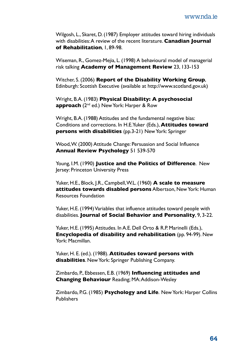Wilgosh, L., Skaret, D. (1987) Employer attitudes toward hiring individuals with disabilities: A review of the recent literature. **Canadian Journal of Rehabilitation**, 1, 89-98.

Wiseman, R., Gomez-Mejia, L. (1998) A behavioural model of managerial risk talking **Academy of Management Review** 23, 133-153

Witcher, S. (2006) **Report of the Disability Working Group**, Edinburgh: Scottish Executive (available at http://www.scotland.gov.uk)

Wright, B.A. (1983) **Physical Disability: A psychosocial approach** (2nd ed.) New York: Harper & Row

Wright, B.A. (1988) Attitudes and the fundamental negative bias: Conditions and corrections. In H.E.Yuker (Eds.), **Attitudes toward persons with disabilities** (pp.3-21) New York: Springer

Wood, W. (2000) Attitude Change: Persuasion and Social Influence **Annual Review Psychology** 51 539-570

Young, I.M. (1990) **Justice and the Politics of Difference**. New Jersey: Princeton University Press

Yuker, H.E., Block, J.R., Campbell, W.L. (1960) **A scale to measure attitudes towards disabled persons** Albertson, New York: Human Resources Foundation

Yuker, H.E. (1994) Variables that influence attitudes toward people with disabilities. **Journal of Social Behavior and Personality**, 9, 3-22.

Yuker, H.E. (1995) Attitudes. In A.E. Dell Orto & R.P. Marinelli (Eds.), **Encyclopedia of disability and rehabilitation** (pp. 94-99). New York: Macmillan.

Yuker, H. E. (ed.). (1988). **Attitudes toward persons with disabilities**. New York: Springer Publishing Company.

Zimbardo, P., Ebbessen, E.B. (1969) **Influencing attitudes and Changing Behaviour** Reading; MA: Addison-Wesley

Zimbardo, P.G. (1985) **Psychology and Life**. New York: Harper Collins Publishers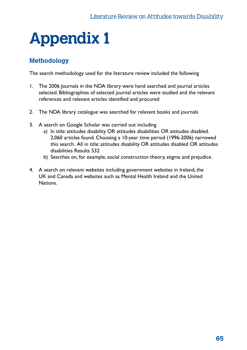## **Appendix 1**

#### **Methodology**

The search methodology used for the literature review included the following

- 1. The 2006 Journals in the NDA library were hand searched and journal articles selected. Bibliographies of selected journal articles were studied and the relevant references and relevant articles identified and procured
- 2. The NDA library catalogue was searched for relevant books and journals
- 3. A search on Google Scholar was carried out including
	- a) In title: attitudes disability OR attitudes disabilities OR attitudes disabled. 2,060 articles found. Choosing a 10-year time period (1996-2006) narrowed this search. All in title: attitudes disability OR attitudes disabled OR attitudes disabilities Results 532
	- b) Searches on, for example, social construction theory, stigma and prejudice.
- 4. A search on relevant websites including government websites in Ireland, the UK and Canada and websites such as Mental Health Ireland and the United Nations.